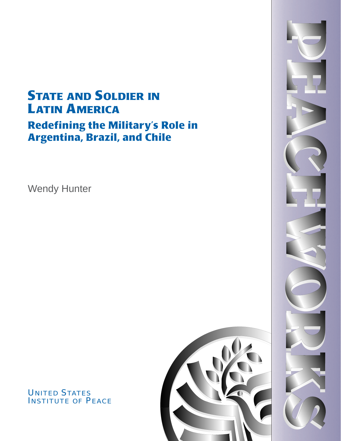# **STATE AND SOLDIER IN** LATIN AMERICA Redefining the Military's Role in Argentina, Brazil, and Chile

Wendy Hunter



# UNITED STATES INSTITUTE OF PEACE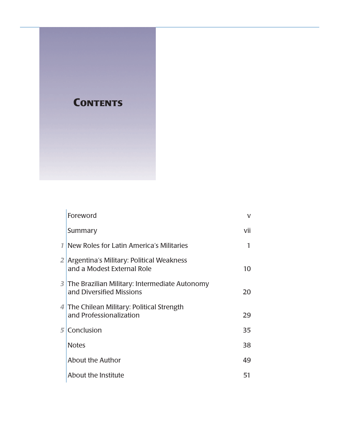

| Foreword                                                                    | v   |
|-----------------------------------------------------------------------------|-----|
| Summary                                                                     | vii |
| 1 New Roles for Latin America's Militaries                                  | 1   |
| 2 Argentina's Military: Political Weakness<br>and a Modest External Role    | 10  |
| 3 The Brazilian Military: Intermediate Autonomy<br>and Diversified Missions | 20  |
| 4 The Chilean Military: Political Strength<br>and Professionalization       | 29  |
| 5 Conclusion                                                                | 35  |
| <b>Notes</b>                                                                | 38  |
| About the Author                                                            | 49  |
| About the Institute                                                         | 51  |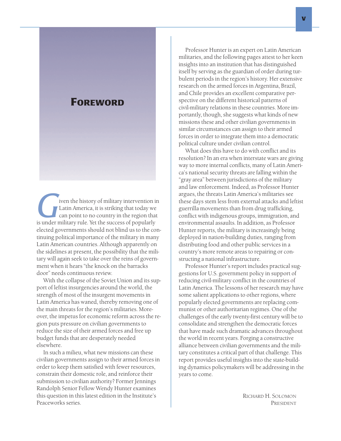# FOREWORD

**Given the history of military intervention in**<br>Latin America, it is striking that today we<br>can point to no country in the region that<br>is under military rule. Yet the success of popularly Latin America, it is striking that today we can point to no country in the region that elected governments should not blind us to the continuing political importance of the military in many Latin American countries. Although apparently on the sidelines at present, the possibility that the military will again seek to take over the reins of government when it hears "the knock on the barracks door" needs continuous review.

With the collapse of the Soviet Union and its support of leftist insurgencies around the world, the strength of most of the insurgent movements in Latin America has waned, thereby removing one of the main threats for the region's militaries. Moreover, the impetus for economic reform across the region puts pressure on civilian governments to reduce the size of their armed forces and free up budget funds that are desperately needed elsewhere.

In such a milieu, what new missions can these civilian governments assign to their armed forces in order to keep them satisfied with fewer resources, constrain their domestic role, and reinforce their submission to civilian authority? Former Jennings Randolph Senior Fellow Wendy Hunter examines this question in this latest edition in the Institute's Peaceworks series.

Professor Hunter is an expert on Latin American militaries, and the following pages attest to her keen insights into an institution that has distinguished itself by serving as the guardian of order during turbulent periods in the region's history. Her extensive research on the armed forces in Argentina, Brazil, and Chile provides an excellent comparative perspective on the different historical patterns of civil-military relations in these countries. More importantly, though, she suggests what kinds of new missions these and other civilian governments in similar circumstances can assign to their armed forces in order to integrate them into a democratic political culture under civilian control.

What does this have to do with conflict and its resolution? In an era when interstate wars are giving way to more internal conflicts, many of Latin America's national security threats are falling within the "gray area" between jurisdictions of the military and law enforcement. Indeed, as Professor Hunter argues, the threats Latin America's militaries see these days stem less from external attacks and leftist guerrilla movements than from drug trafficking, conflict with indigenous groups, immigration, and environmental assaults. In addition, as Professor Hunter reports, the military is increasingly being deployed in nation-building duties, ranging from distributing food and other public services in a country's more remote areas to repairing or constructing a national infrastructure.

Professor Hunter's report includes practical suggestions for U.S. government policy in support of reducing civil-military conflict in the countries of Latin America. The lessons of her research may have some salient applications to other regions, where popularly elected governments are replacing communist or other authoritarian regimes. One of the challenges of the early twenty-first century will be to consolidate and strengthen the democratic forces that have made such dramatic advances throughout the world in recent years. Forging a constructive alliance between civilian governments and the military constitutes a critical part of that challenge. This report provides useful insights into the state-building dynamics policymakers will be addressing in the years to come.

> RICHARD H. SOLOMON PRESIDENT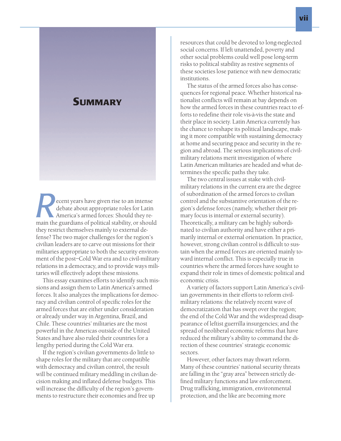# **SUMMARY**

**Recent years have given rise to an intense debate about appropriate roles for Latin America's armed forces: Should they remain the guardians of political stability, or should** debate about appropriate roles for Latin America's armed forces: Should they rethey restrict themselves mainly to external defense? The two major challenges for the region's civilian leaders are to carve out missions for their militaries appropriate to both the security environment of the post–Cold War era and to civil-military relations in a democracy, and to provide ways militaries will effectively adopt these missions.

This essay examines efforts to identify such missions and assign them to Latin America's armed forces. It also analyzes the implications for democracy and civilian control of specific roles for the armed forces that are either under consideration or already under way in Argentina, Brazil, and Chile. These countries' militaries are the most powerful in the Americas outside of the United States and have also ruled their countries for a lengthy period during the Cold War era.

If the region's civilian governments do little to shape roles for the military that are compatible with democracy and civilian control, the result will be continued military meddling in civilian decision making and inflated defense budgets. This will increase the difficulty of the region's governments to restructure their economies and free up

resources that could be devoted to long-neglected social concerns. If left unattended, poverty and other social problems could well pose long-term risks to political stability as restive segments of these societies lose patience with new democratic institutions.

The status of the armed forces also has consequences for regional peace. Whether historical nationalist conflicts will remain at bay depends on how the armed forces in these countries react to efforts to redefine their role vis-à-vis the state and their place in society. Latin America currently has the chance to reshape its political landscape, making it more compatible with sustaining democracy at home and securing peace and security in the region and abroad. The serious implications of civilmilitary relations merit investigation of where Latin American militaries are headed and what determines the specific paths they take.

The two central issues at stake with civilmilitary relations in the current era are the degree of subordination of the armed forces to civilian control and the substantive orientation of the region's defense forces (namely, whether their primary focus is internal or external security). Theoretically, a military can be highly subordinated to civilian authority and have either a primarily internal or external orientation. In practice, however, strong civilian control is difficult to sustain when the armed forces are oriented mainly toward internal conflict. This is especially true in countries where the armed forces have sought to expand their role in times of domestic political and economic crisis.

A variety of factors support Latin America's civilian governments in their efforts to reform civilmilitary relations: the relatively recent wave of democratization that has swept over the region; the end of the Cold War and the widespread disappearance of leftist guerrilla insurgencies; and the spread of neoliberal economic reforms that have reduced the military's ability to command the direction of these countries' strategic economic sectors.

However, other factors may thwart reform. Many of these countries' national security threats are falling in the "gray area" between strictly defined military functions and law enforcement. Drug trafficking, immigration, environmental protection, and the like are becoming more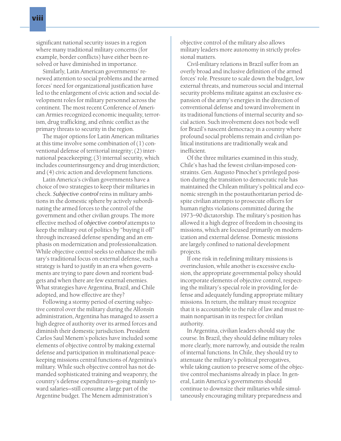significant national security issues in a region where many traditional military concerns (for example, border conflicts) have either been resolved or have diminished in importance.

Similarly, Latin American governments' renewed attention to social problems and the armed forces' need for organizational justification have led to the enlargement of civic action and social development roles for military personnel across the continent. The most recent Conference of American Armies recognized economic inequality, terrorism, drug trafficking, and ethnic conflict as the primary threats to security in the region.

The major options for Latin American militaries at this time involve some combination of (1) conventional defense of territorial integrity; (2) international peacekeeping; (3) internal security, which includes counterinsurgency and drug interdiction; and (4) civic action and development functions.

Latin America's civilian governments have a choice of two strategies to keep their militaries in check. *Subjective control* reins in military ambitions in the domestic sphere by actively subordinating the armed forces to the control of the government and other civilian groups. The more effective method of *objective control* attempts to keep the military out of politics by "buying it off" through increased defense spending and an emphasis on modernization and professionalization. While objective control seeks to enhance the military's traditional focus on external defense, such a strategy is hard to justify in an era when governments are trying to pare down and reorient budgets and when there are few external enemies. What strategies have Argentina, Brazil, and Chile adopted, and how effective are they?

Following a stormy period of exerting subjective control over the military during the Alfonsín administration, Argentina has managed to assert a high degree of authority over its armed forces and diminish their domestic jurisdiction. President Carlos Saul Menem's policies have included some elements of objective control by making external defense and participation in multinational peacekeeping missions central functions of Argentina's military. While such objective control has not demanded sophisticated training and weaponry, the country's defense expenditures—going mainly toward salaries—still consume a large part of the Argentine budget. The Menem administration's

objective control of the military also allows military leaders more autonomy in strictly professional matters.

Civil-military relations in Brazil suffer from an overly broad and inclusive definition of the armed forces' role. Pressure to scale down the budget, low external threats, and numerous social and internal security problems militate against an exclusive expansion of the army's energies in the direction of conventional defense and toward involvement in its traditional functions of internal security and social action. Such involvement does not bode well for Brazil's nascent democracy in a country where profound social problems remain and civilian political institutions are traditionally weak and inefficient.

Of the three militaries examined in this study, Chile's has had the fewest civilian-imposed constraints. Gen. Augusto Pinochet's privileged position during the transition to democratic rule has maintained the Chilean military's political and economic strength in the postauthoritarian period despite civilian attempts to prosecute officers for human rights violations committed during the 1973–90 dictatorship. The military's position has allowed it a high degree of freedom in choosing its missions, which are focused primarily on modernization and external defense. Domestic missions are largely confined to national development projects.

If one risk in redefining military missions is overinclusion, while another is excessive exclusion, the appropriate governmental policy should incorporate elements of objective control, respecting the military's special role in providing for defense and adequately funding appropriate military missions. In return, the military must recognize that it is accountable to the rule of law and must remain nonpartisan in its respect for civilian authority.

In Argentina, civilian leaders should stay the course. In Brazil, they should define military roles more clearly, more narrowly, and outside the realm of internal functions. In Chile, they should try to attenuate the military's political prerogatives, while taking caution to preserve some of the objective control mechanisms already in place. In general, Latin America's governments should continue to downsize their militaries while simultaneously encouraging military preparedness and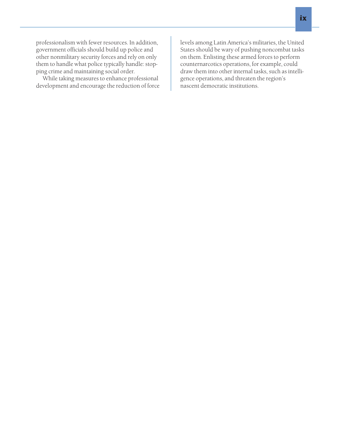professionalism with fewer resources. In addition, government officials should build up police and other nonmilitary security forces and rely on only them to handle what police typically handle: stopping crime and maintaining social order.

While taking measures to enhance professional development and encourage the reduction of force levels among Latin America's militaries, the United States should be wary of pushing noncombat tasks on them. Enlisting these armed forces to perform counternarcotics operations, for example, could draw them into other internal tasks, such as intelligence operations, and threaten the region's nascent democratic institutions.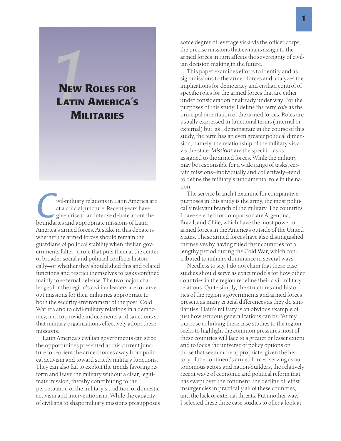# **NEW ROLES FOR** LATIN AMERICA'S **MILITARIES**

**C**ivil-military relations in Latin America are<br>
at a crucial juncture. Recent years have<br>
given rise to an intense debate about the<br>
boundaries and appropriate missions of Latin at a crucial juncture. Recent years have given rise to an intense debate about the America's armed forces. At stake in this debate is whether the armed forces should remain the guardians of political stability when civilian governments falter—a role that puts them at the center of broader social and political conflicts historically—or whether they should shed this and related functions and restrict themselves to tasks confined mainly to external defense. The two major challenges for the region's civilian leaders are to carve out missions for their militaries appropriate to both the security environment of the post–Cold War era and to civil-military relations in a democracy, and to provide inducements and sanctions so that military organizations effectively adopt these missions.

Latin America's civilian governments can seize the opportunities presented at this current juncture to reorient the armed forces away from political activism and toward strictly military functions. They can also fail to exploit the trends favoring reform and leave the military without a clear, legitimate mission, thereby contributing to the perpetuation of the military's tradition of domestic activism and interventionism. While the capacity of civilians to shape military missions presupposes

some degree of leverage vis-à-vis the officer corps, the precise missions that civilians assign to the armed forces in turn affects the sovereignty of civilian decision making in the future.

This paper examines efforts to identify and assign missions to the armed forces and analyzes the implications for democracy and civilian control of specific roles for the armed forces that are either under consideration or already under way. For the purposes of this study, I define the term *role* as the principal orientation of the armed forces. Roles are usually expressed in functional terms (internal or external) but, as I demonstrate in the course of this study, the term has an even greater political dimension, namely, the relationship of the military vis-àvis the state. *Missions* are the specific tasks assigned to the armed forces. While the military may be responsible for a wide range of tasks, certain missions—individually and collectively—tend to define the military's fundamental role in the nation.

The service branch I examine for comparative purposes in this study is the army, the most politically relevant branch of the military. The countries I have selected for comparison are Argentina, Brazil, and Chile, which have the most powerful armed forces in the Americas outside of the United States. These armed forces have also distinguished themselves by having ruled their countries for a lengthy period during the Cold War, which contributed to military dominance in several ways.

Needless to say, I do not claim that these case studies should serve as exact models for how other countries in the region redefine their civil-military relations. Quite simply, the structures and histories of the region's governments and armed forces present as many crucial differences as they do similarities. Haiti's military is an obvious example of just how tenuous generalizations can be. Yet my purpose in linking these case studies to the region seeks to highlight the common pressures most of these countries will face to a greater or lesser extent and to focus the universe of policy options on those that seem more appropriate, given the history of the continent's armed forces' serving as autonomous actors and nation-builders, the relatively recent wave of economic and political reform that has swept over the continent, the decline of leftist insurgencies in practically all of these countries, and the lack of external threats. Put another way, I selected these three case studies to offer a look at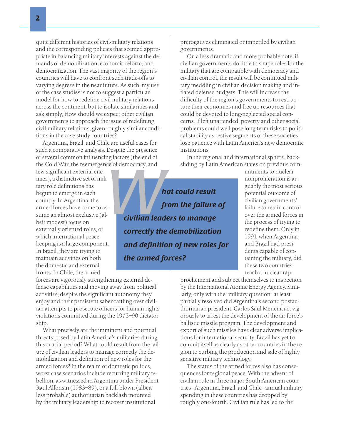quite different histories of civil-military relations and the corresponding policies that seemed appropriate in balancing military interests against the demands of demobilization, economic reform, and democratization. The vast majority of the region's countries will have to confront such trade-offs to varying degrees in the near future. As such, my use of the case studies is not to suggest a particular model for how to redefine civil-military relations across the continent, but to isolate similarities and ask simply, How should we expect other civilian governments to approach the issue of redefining civil-military relations, given roughly similar conditions in the case-study countries?

Argentina, Brazil, and Chile are useful cases for such a comparative analysis. Despite the presence of several common influencing factors (the end of the Cold War, the reemergence of democracy, and

few significant external enemies), a distinctive set of military role definitions has begun to emerge in each country. In Argentina, the armed forces have come to assume an almost exclusive (albeit modest) focus on externally oriented roles, of which international peacekeeping is a large component. In Brazil, they are trying to maintain activities on both the domestic and external fronts. In Chile, the armed

forces are vigorously strengthening external defense capabilities and moving away from political activities, despite the significant autonomy they enjoy and their persistent saber-rattling over civilian attempts to prosecute officers for human rights violations committed during the 1973–90 dictatorship.

What precisely are the imminent and potential threats posed by Latin America's militaries during this crucial period? What could result from the failure of civilian leaders to manage correctly the demobilization and definition of new roles for the armed forces? In the realm of domestic politics, worst case scenarios include recurring military rebellion, as witnessed in Argentina under President Raúl Alfonsín (1983–89), or a full-blown (albeit less probable) authoritarian backlash mounted by the military leadership to recover institutional

prerogatives eliminated or imperiled by civilian governments.

On a less dramatic and more probable note, if civilian governments do little to shape roles for the military that are compatible with democracy and civilian control, the result will be continued military meddling in civilian decision making and inflated defense budgets. This will increase the difficulty of the region's governments to restructure their economies and free up resources that could be devoted to long-neglected social concerns. If left unattended, poverty and other social problems could well pose long-term risks to political stability as restive segments of these societies lose patience with Latin America's new democratic institutions.

In the regional and international sphere, backsliding by Latin American states on previous com-

Example of democracy, and<br>
<br> **Anat could result<br>
from the failure<br>
civilian leaders to manage<br>
Source the the demobilization** *from the failure of civilian leaders to manage correctly the demobilization and definition of new roles for the armed forces?*

mitments to nuclear nonproliferation is arguably the most serious potential outcome of civilian governments' failure to retain control over the armed forces in the process of trying to redefine them. Only in 1991, when Argentina and Brazil had presidents capable of containing the military, did these two countries reach a nuclear rap-

prochement and subject themselves to inspection by the International Atomic Energy Agency. Similarly, only with the "military question" at least partially resolved did Argentina's second postauthoritarian president, Carlos Saúl Menem, act vigorously to arrest the development of the air force's ballistic missile program. The development and export of such missiles have clear adverse implications for international security. Brazil has yet to commit itself as clearly as other countries in the region to curbing the production and sale of highly sensitive military technology.

The status of the armed forces also has consequences for regional peace. With the advent of civilian rule in three major South American countries—Argentina, Brazil, and Chile—annual military spending in these countries has dropped by roughly one-fourth. Civilian rule has led to the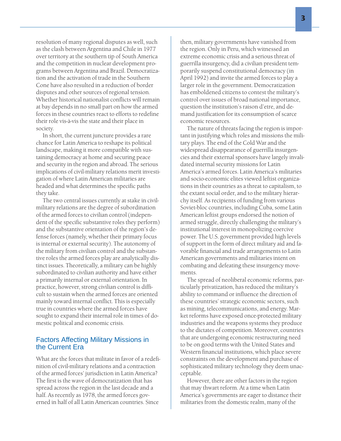resolution of many regional disputes as well, such as the clash between Argentina and Chile in 1977 over territory at the southern tip of South America and the competition in nuclear development programs between Argentina and Brazil. Democratization and the activation of trade in the Southern Cone have also resulted in a reduction of border disputes and other sources of regional tension. Whether historical nationalist conflicts will remain at bay depends in no small part on how the armed forces in these countries react to efforts to redefine their role vis-à-vis the state and their place in society.

In short, the current juncture provides a rare chance for Latin America to reshape its political landscape, making it more compatible with sustaining democracy at home and securing peace and security in the region and abroad. The serious implications of civil-military relations merit investigation of where Latin American militaries are headed and what determines the specific paths they take.

The two central issues currently at stake in civilmilitary relations are the degree of subordination of the armed forces to civilian control (independent of the specific substantive roles they perform) and the substantive orientation of the region's defense forces (namely, whether their primary focus is internal or external security). The autonomy of the military from civilian control and the substantive roles the armed forces play are analytically distinct issues. Theoretically, a military can be highly subordinated to civilian authority and have either a primarily internal or external orientation. In practice, however, strong civilian control is difficult to sustain when the armed forces are oriented mainly toward internal conflict. This is especially true in countries where the armed forces have sought to expand their internal role in times of domestic political and economic crisis.

# Factors Affecting Military Missions in the Current Era

What are the forces that militate in favor of a redefinition of civil-military relations and a contraction of the armed forces' jurisdiction in Latin America? The first is the wave of democratization that has spread across the region in the last decade and a half. As recently as 1978, the armed forces governed in half of all Latin American countries. Since

then, military governments have vanished from the region. Only in Peru, which witnessed an extreme economic crisis and a serious threat of guerrilla insurgency, did a civilian president temporarily suspend constitutional democracy (in April 1992) and invite the armed forces to play a larger role in the government. Democratization has emboldened citizens to contest the military's control over issues of broad national importance, question the institution's raison d'etre, and demand justification for its consumption of scarce economic resources.

The nature of threats facing the region is important in justifying which roles and missions the military plays. The end of the Cold War and the widespread disappearance of guerrilla insurgencies and their external sponsors have largely invalidated internal security missions for Latin America's armed forces. Latin America's militaries and socio-economic elites viewed leftist organizations in their countries as a threat to capitalism, to the extant social order, and to the military hierarchy itself. As recipients of funding from various Soviet-bloc countries, including Cuba, some Latin American leftist groups endorsed the notion of armed struggle, directly challenging the military's institutional interest in monopolizing coercive power. The U.S. government provided high levels of support in the form of direct military aid and favorable financial and trade arrangements to Latin American governments and militaries intent on combating and defeating these insurgency movements.

The spread of neoliberal economic reforms, particularly privatization, has reduced the military's ability to command or influence the direction of these countries' strategic economic sectors, such as mining, telecommunications, and energy. Market reforms have exposed once-protected military industries and the weapons systems they produce to the dictates of competition. Moreover, countries that are undergoing economic restructuring need to be on good terms with the United States and Western financial institutions, which place severe constraints on the development and purchase of sophisticated military technology they deem unacceptable.

However, there are other factors in the region that may thwart reform. At a time when Latin America's governments are eager to distance their militaries from the domestic realm, many of the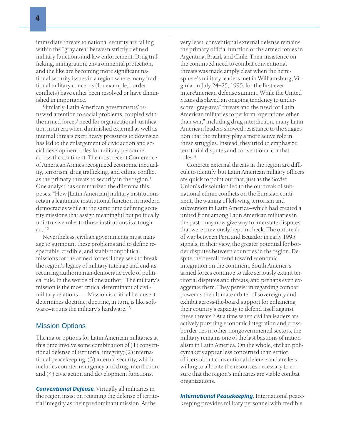immediate threats to national security are falling within the "gray area" between strictly defined military functions and law enforcement. Drug trafficking, immigration, environmental protection, and the like are becoming more significant national security issues in a region where many traditional military concerns (for example, border conflicts) have either been resolved or have diminished in importance.

Similarly, Latin American governments' renewed attention to social problems, coupled with the armed forces' need for organizational justification in an era when diminished external as well as internal threats exert heavy pressures to downsize, has led to the enlargement of civic action and social development roles for military personnel across the continent. The most recent Conference of American Armies recognized economic inequality, terrorism, drug trafficking, and ethnic conflict as the primary threats to security in the region. $1$ One analyst has summarized the dilemma this poses: "How [Latin American] military institutions retain a legitimate institutional function in modern democracies while at the same time defining security missions that assign meaningful but politically unintrusive roles to those institutions is a tough act."<sup>2</sup>

Nevertheless, civilian governments must manage to surmount these problems and to define respectable, credible, and stable nonpolitical missions for the armed forces if they seek to break the region's legacy of military tutelage and end its recurring authoritarian-democratic cycle of political rule. In the words of one author, "The military's mission is the most critical determinant of civilmilitary relations. . . . Mission is critical because it determines doctrine; doctrine, in turn, is like software—it runs the military's hardware."3

### Mission Options

The major options for Latin American militaries at this time involve some combination of (1) conventional defense of territorial integrity; (2) international peacekeeping; (3) internal security, which includes counterinsurgency and drug interdiction; and (4) civic action and development functions.

*Conventional Defense.* Virtually all militaries in the region insist on retaining the defense of territorial integrity as their predominant mission. At the

very least, conventional external defense remains the primary official function of the armed forces in Argentina, Brazil, and Chile. Their insistence on the continued need to combat conventional threats was made amply clear when the hemisphere's military leaders met in Williamsburg, Virginia on July 24–25, 1995, for the first-ever inter-American defense summit. While the United States displayed an ongoing tendency to underscore "gray-area" threats and the need for Latin American militaries to perform "operations other than war," including drug interdiction, many Latin American leaders showed resistance to the suggestion that the military play a more active role in these struggles. Instead, they tried to emphasize territorial disputes and conventional combat roles.<sup>4</sup>

Concrete external threats in the region are difficult to identify, but Latin American military officers are quick to point out that, just as the Soviet Union's dissolution led to the outbreak of subnational ethnic conflicts on the Eurasian continent, the waning of left-wing terrorism and subversion in Latin America—which had created a united front among Latin American militaries in the past—may now give way to interstate disputes that were previously kept in check. The outbreak of war between Peru and Ecuador in early 1995 signals, in their view, the greater potential for border disputes between countries in the region. Despite the overall trend toward economic integration on the continent, South America's armed forces continue to take seriously extant territorial disputes and threats, and perhaps even exaggerate them. They persist in regarding combat power as the ultimate arbiter of sovereignty and exhibit across-the-board support for enhancing their country's capacity to defend itself against these threats.<sup>5</sup> At a time when civilian leaders are actively pursuing economic integration and crossborder ties in other nongovernmental sectors, the military remains one of the last bastions of nationalism in Latin America. On the whole, civilian policymakers appear less concerned than senior officers about conventional defense and are less willing to allocate the resources necessary to ensure that the region's militaries are viable combat organizations.

*International Peacekeeping.* International peacekeeping provides military personnel with credible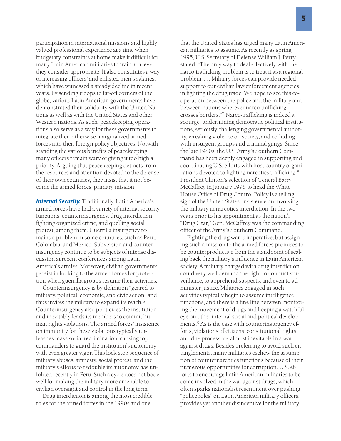participation in international missions and highly valued professional experience at a time when budgetary constraints at home make it difficult for many Latin American militaries to train at a level they consider appropriate. It also constitutes a way of increasing officers' and enlisted men's salaries, which have witnessed a steady decline in recent years. By sending troops to far-off corners of the globe, various Latin American governments have demonstrated their solidarity with the United Nations as well as with the United States and other Western nations. As such, peacekeeping operations also serve as a way for these governments to integrate their otherwise marginalized armed forces into their foreign policy objectives. Notwithstanding the various benefits of peacekeeping, many officers remain wary of giving it too high a priority. Arguing that peacekeeping detracts from the resources and attention devoted to the defense of their own countries, they insist that it not become the armed forces' primary mission.

**Internal Security.** Traditionally, Latin America's armed forces have had a variety of internal security functions: counterinsurgency, drug interdiction, fighting organized crime, and quelling social protest, among them. Guerrilla insurgency remains a problem in some countries, such as Peru, Colombia, and Mexico. Subversion and counterinsurgency continue to be subjects of intense discussion at recent conferences among Latin America's armies. Moreover, civilian governments persist in looking to the armed forces for protection when guerrilla groups resume their activities.

Counterinsurgency is by definition "geared to military, political, economic, and civic action" and thus invites the military to expand its reach.<sup>6</sup> Counterinsurgency also politicizes the institution and inevitably leads its members to commit human rights violations. The armed forces' insistence on immunity for these violations typically unleashes mass social recrimination, causing top commanders to guard the institution's autonomy with even greater vigor. This lock-step sequence of military abuses, amnesty, social protest, and the military's efforts to redouble its autonomy has unfolded recently in Peru. Such a cycle does not bode well for making the military more amenable to civilian oversight and control in the long term.

Drug interdiction is among the most credible roles for the armed forces in the 1990s and one

that the United States has urged many Latin American militaries to assume. As recently as spring 1995, U.S. Secretary of Defense William J. Perry stated, "The only way to deal effectively with the narco-trafficking problem is to treat it as a regional problem. . . . Military forces can provide needed support to our civilian law enforcement agencies in fighting the drug trade. We hope to see this cooperation between the police and the military and between nations wherever narco-trafficking crosses borders."<sup>7</sup> Narco-trafficking is indeed a scourge, undermining democratic political institutions, seriously challenging governmental authority, wreaking violence on society, and colluding with insurgent groups and criminal gangs. Since the late 1980s, the U.S. Army's Southern Command has been deeply engaged in supporting and coordinating U.S. efforts with host-country organizations devoted to fighting narcotics trafficking.<sup>8</sup> President Clinton's selection of General Barry McCaffrey in January 1996 to head the White House Office of Drug Control Policy is a telling sign of the United States' insistence on involving the military in narcotics interdiction. In the two years prior to his appointment as the nation's "Drug Czar," Gen. McCaffrey was the commanding officer of the Army's Southern Command.

Fighting the drug war is imperative, but assigning such a mission to the armed forces promises to be counterproductive from the standpoint of scaling back the military's influence in Latin American society. A military charged with drug interdiction could very well demand the right to conduct surveillance, to apprehend suspects, and even to administer justice. Militaries engaged in such activities typically begin to assume intelligence functions, and there is a fine line between monitoring the movement of drugs and keeping a watchful eye on other internal social and political developments.9 As is the case with counterinsurgency efforts, violations of citizens' constitutional rights and due process are almost inevitable in a war against drugs. Besides preferring to avoid such entanglements, many militaries eschew the assumption of counternarcotics functions because of their numerous opportunities for corruption. U.S. efforts to encourage Latin American militaries to become involved in the war against drugs, which often sparks nationalist resentment over pushing "police roles" on Latin American military officers, provides yet another disincentive for the military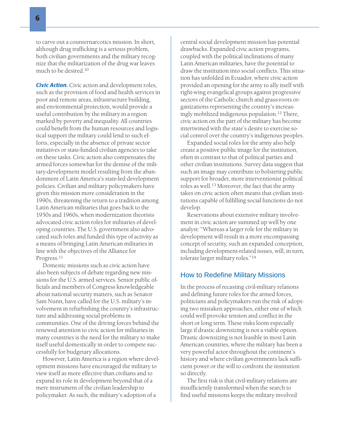to carve out a counternarcotics mission. In short, although drug trafficking is a serious problem, both civilian governments and the military recognize that the militarization of the drug war leaves much to be desired.10

*Civic Action.* Civic action and development roles, such as the provision of food and health services in poor and remote areas, infrastructure building, and environmental protection, would provide a useful contribution by the military in a region marked by poverty and inequality. All countries could benefit from the human resources and logistical support the military could lend to such efforts, especially in the absence of private sector initiatives or state-funded civilian agencies to take on these tasks. Civic action also compensates the armed forces somewhat for the demise of the military-development model resulting from the abandonment of Latin America's state-led development policies. Civilian and military policymakers have given this mission more consideration in the 1990s, threatening the return to a tradition among Latin American militaries that goes back to the 1950s and 1960s, when modernization theorists advocated civic action roles for militaries of developing countries. The U.S. government also advocated such roles and funded this type of activity as a means of bringing Latin American militaries in line with the objectives of the Alliance for Progress.<sup>11</sup>

Domestic missions such as civic action have also been subjects of debate regarding new missions for the U.S. armed services. Senior public officials and members of Congress knowledgeable about national security matters, such as Senator Sam Nunn, have called for the U.S. military's involvement in refurbishing the country's infrastructure and addressing social problems in communities. One of the driving forces behind the renewed attention to civic action for militaries in many countries is the need for the military to make itself useful domestically in order to compete successfully for budgetary allocations.

However, Latin America is a region where development missions have encouraged the military to view itself as more effective than civilians and to expand its role in development beyond that of a mere instrument of the civilian leadership to policymaker. As such, the military's adoption of a

central social development mission has potential drawbacks. Expanded civic action programs, coupled with the political inclinations of many Latin American militaries, have the potential to draw the institution into social conflicts. This situation has unfolded in Ecuador, where civic action provided an opening for the army to ally itself with right-wing evangelical groups against progressive sectors of the Catholic church and grass-roots organizations representing the country's increasingly mobilized indigenous population.12 There, civic action on the part of the military has become intertwined with the state's desire to exercise social control over the country's indigenous peoples.

Expanded social roles for the army also help create a positive public image for the institution, often in contrast to that of political parties and other civilian institutions. Survey data suggest that such an image may contribute to bolstering public support for broader, more interventionist political roles as well.<sup>13</sup> Moreover, the fact that the army takes on civic action often means that civilian institutions capable of fulfilling social functions do not develop.

Reservations about extensive military involvement in civic action are summed up well by one analyst: "Whereas a larger role for the military in development will result in a more encompassing concept of security, such an expanded conception, including development-related issues, will, in turn, tolerate larger military roles."<sup>14</sup>

### How to Redefine Military Missions

In the process of recasting civil-military relations and defining future roles for the armed forces, politicians and policymakers run the risk of adopting two mistaken approaches, either one of which could well provoke tension and conflict in the short or long term. These risks loom especially large if drastic downsizing is not a viable option. Drastic downsizing is not feasible in most Latin American countries, where the military has been a very powerful actor throughout the continent's history and where civilian governments lack sufficient power or the will to confront the institution so directly.

The first risk is that civil-military relations are insufficiently transformed when the search to find useful missions keeps the military involved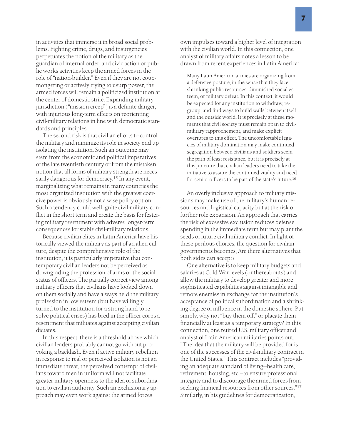in activities that immerse it in broad social problems. Fighting crime, drugs, and insurgencies perpetuates the notion of the military as the guardian of internal order, and civic action or public works activities keep the armed forces in the role of "nation-builder." Even if they are not coupmongering or actively trying to usurp power, the armed forces will remain a politicized institution at the center of domestic strife. Expanding military jurisdiction ("mission creep") is a definite danger, with injurious long-term effects on reorienting civil-military relations in line with democratic standards and principles .

The second risk is that civilian efforts to control the military and minimize its role in society end up isolating the institution. Such an outcome may stem from the economic and political imperatives of the late twentieth century or from the mistaken notion that all forms of military strength are necessarily dangerous for democracy.<sup>15</sup> In any event, marginalizing what remains in many countries the most organized institution with the greatest coercive power is obviously not a wise policy option. Such a tendency could well ignite civil-military conflict in the short term and create the basis for festering military resentment with adverse longer-term consequences for stable civil-military relations.

Because civilian elites in Latin America have historically viewed the military as part of an alien culture, despite the comprehensive role of the institution, it is particularly imperative that contemporary civilian leaders not be perceived as downgrading the profession of arms or the social status of officers. The partially correct view among military officers that civilians have looked down on them socially and have always held the military profession in low esteem (but have willingly turned to the institution for a strong hand to resolve political crises) has bred in the officer corps a resentment that militates against accepting civilian dictates.

In this respect, there is a threshold above which civilian leaders probably cannot go without provoking a backlash. Even if active military rebellion in response to real or perceived isolation is not an immediate threat, the perceived contempt of civilians toward men in uniform will not facilitate greater military openness to the idea of subordination to civilian authority. Such an exclusionary approach may even work against the armed forces'

own impulses toward a higher level of integration with the civilian world. In this connection, one analyst of military affairs notes a lesson to be drawn from recent experiences in Latin America:

Many Latin American armies are organizing from a defensive posture, in the sense that they face shrinking public resources, diminished social esteem, or military defeat. In this context, it would be expected for any institution to withdraw, regroup, and find ways to build walls between itself and the outside world. It is precisely at these moments that civil society must remain open to civilmilitary rapprochement, and make explicit overtures to this effect. The uncomfortable legacies of military domination may make continued segregation between civilians and soldiers seem the path of least resistance, but it is precisely at this juncture that civilian leaders need to take the initiative to assure the continued vitality and need for senior officers to be part of the state's future.<sup>16</sup>

An overly inclusive approach to military missions may make use of the military's human resources and logistical capacity but at the risk of further role expansion. An approach that carries the risk of excessive exclusion reduces defense spending in the immediate term but may plant the seeds of future civil-military conflict. In light of these perilous choices, the question for civilian governments becomes, Are there alternatives that both sides can accept?

One alternative is to keep military budgets and salaries at Cold War levels (or thereabouts) and allow the military to develop greater and more sophisticated capabilities against intangible and remote enemies in exchange for the institution's acceptance of political subordination and a shrinking degree of influence in the domestic sphere. Put simply, why not "buy them off," or placate them financially at least as a temporary strategy? In this connection, one retired U.S. military officer and analyst of Latin American militaries points out, "The idea that the military will be provided for is one of the successes of the civil-military contract in the United States." This contract includes "providing an adequate standard of living—health care, retirement, housing, etc.—to ensure professional integrity and to discourage the armed forces from seeking financial resources from other sources."<sup>17</sup> Similarly, in his guidelines for democratization,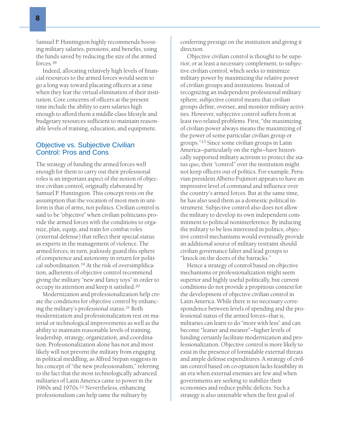Indeed, allocating relatively high levels of financial resources to the armed forces would seem to go a long way toward placating officers at a time when they fear the virtual elimination of their institution. Core concerns of officers at the present time include the ability to earn salaries high enough to afford them a middle-class lifestyle and budgetary resources sufficient to maintain reasonable levels of training, education, and equipment.

# Objective vs. Subjective Civilian Control: Pros and Cons

The strategy of funding the armed forces well enough for them to carry out their professional roles is an important aspect of the notion of objective civilian control, originally elaborated by Samuel P. Huntington. This concept rests on the assumption that the vocation of most men in uniform is that of arms, not politics. Civilian control is said to be "objective" when civilian politicians provide the armed forces with the conditions to organize, plan, equip, and train for combat roles (external defense) that reflect their special status as experts in the management of violence. The armed forces, in turn, jealously guard this sphere of competence and autonomy in return for political subordination.19 At the risk of oversimplification, adherents of objective control recommend giving the military "new and fancy toys" in order to occupy its attention and keep it satisfied.20

Modernization and professionalization help create the conditions for objective control by enhancing the military's professional status.<sup>21</sup> Both modernization and professionalization rest on material or technological improvements as well as the ability to maintain reasonable levels of training, leadership, strategy, organization, and coordination. Professionalization alone has not and most likely will not prevent the military from engaging in political meddling, as Alfred Stepan suggests in his concept of "the new professionalism," referring to the fact that the most technologically advanced militaries of Latin America came to power in the 1960s and 1970s.22 Nevertheless, enhancing professionalism can help tame the military by

conferring prestige on the institution and giving it direction.

Objective civilian control is thought to be superior, or at least a necessary complement, to subjective civilian control, which seeks to minimize military power by maximizing the relative power of civilian groups and institutions. Instead of recognizing an independent professional military sphere, subjective control means that civilian groups define, oversee, and monitor military activities. However, subjective control suffers from at least two related problems. First, "the maximizing of civilian power always means the maximizing of the power of some particular civilian group or groups."<sup>23</sup> Since some civilian groups in Latin America—particularly on the right—have historically supported military activism to protect the status quo, their "control" over the institution might not keep officers out of politics. For example, Peruvian president Alberto Fujimori appears to have an impressive level of command and influence over the country's armed forces. But at the same time, he has also used them as a domestic political instrument. Subjective control also does not allow the military to develop its own independent commitment to political noninterference. By inducing the military to be less interested in politics, objective control mechanisms would eventually provide an additional source of military restraint should civilian governance falter and lead groups to "knock on the doors of the barracks."

Hence a strategy of control based on objective mechanisms or professionalization might seem superior and highly useful politically, but current conditions do not provide a propitious context for the development of objective civilian control in Latin America. While there is no necessary correspondence between levels of spending and the professional status of the armed forces—that is, militaries can learn to do "more with less" and can become "leaner and meaner"—higher levels of funding certainly facilitate modernization and professionalization. Objective control is more likely to exist in the presence of formidable external threats and ample defense expenditures. A strategy of civilian control based on co-optation lacks feasibility in an era when external enemies are few and when governments are seeking to stabilize their economies and reduce public deficits. Such a strategy is also untenable when the first goal of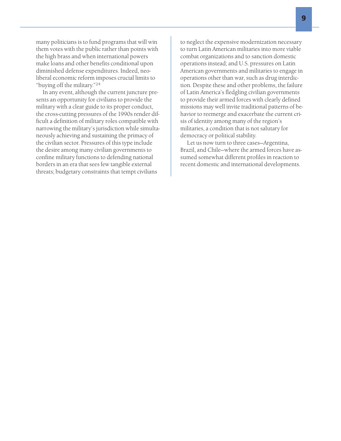many politicians is to fund programs that will win them votes with the public rather than points with the high brass and when international powers make loans and other benefits conditional upon diminished defense expenditures. Indeed, neoliberal economic reform imposes crucial limits to "buying off the military."<sup>24</sup>

In any event, although the current juncture presents an opportunity for civilians to provide the military with a clear guide to its proper conduct, the cross-cutting pressures of the 1990s render difficult a definition of military roles compatible with narrowing the military's jurisdiction while simultaneously achieving and sustaining the primacy of the civilian sector. Pressures of this type include the desire among many civilian governments to confine military functions to defending national borders in an era that sees few tangible external threats; budgetary constraints that tempt civilians

to neglect the expensive modernization necessary to turn Latin American militaries into more viable combat organizations and to sanction domestic operations instead; and U.S. pressures on Latin American governments and militaries to engage in operations other than war, such as drug interdiction. Despite these and other problems, the failure of Latin America's fledgling civilian governments to provide their armed forces with clearly defined missions may well invite traditional patterns of behavior to reemerge and exacerbate the current crisis of identity among many of the region's militaries, a condition that is not salutary for democracy or political stability.

Let us now turn to three cases—Argentina, Brazil, and Chile—where the armed forces have assumed somewhat different profiles in reaction to recent domestic and international developments.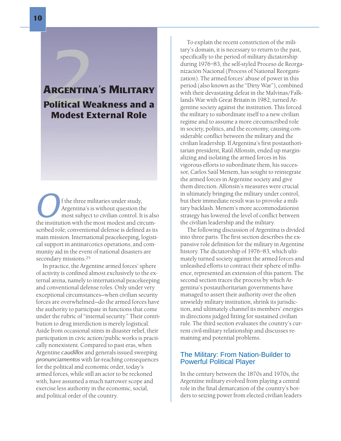# A RGENTINA'S MILITARY **22**<br>**2**<br>Political W<br>Modest E Political Weakness and a Modest External Role

**O**f the three militaries under study,<br>Argentina's is without question the<br>most subject to civilian control. It is als<br>the institution with the most modest and circum-Argentina's is without question the most subject to civilian control. It is also scribed role; conventional defense is defined as its main mission. International peacekeeping, logistical support in antinarcotics operations, and community aid in the event of national disasters are secondary missions.25

In practice, the Argentine armed forces' sphere of activity is confined almost exclusively to the external arena, namely to international peacekeeping and conventional defense roles. Only under very exceptional circumstances—when civilian security forces are overwhelmed—do the armed forces have the authority to participate in functions that come under the rubric of "internal security." Their contribution to drug interdiction is merely logistical. Aside from occasional stints in disaster relief, their participation in civic action/public works is practically nonexistent. Compared to past eras, when Argentine *caudillos* and generals issued sweeping *pronunciamentos* with far-reaching consequences for the political and economic order, today's armed forces, while still an actor to be reckoned with, have assumed a much narrower scope and exercise less authority in the economic, social, and political order of the country.

To explain the recent constriction of the military's domain, it is necessary to return to the past, specifically to the period of military dictatorship during 1976–83, the self-styled Proceso de Reorganización Nacional (Process of National Reorganization). The armed forces' abuse of power in this period (also known as the "Dirty War"), combined with their devastating defeat in the Malvinas/Falklands War with Great Britain in 1982, turned Argentine society against the institution. This forced the military to subordinate itself to a new civilian regime and to assume a more circumscribed role in society, politics, and the economy, causing considerable conflict between the military and the civilian leadership. If Argentina's first postauthoritarian president, Raúl Alfonsín, ended up marginalizing and isolating the armed forces in his vigorous efforts to subordinate them, his successor, Carlos Saúl Menem, has sought to reintegrate the armed forces in Argentine society and give them direction. Alfonsín's measures were crucial in ultimately bringing the military under control, but their immediate result was to provoke a military backlash. Menem's more accommodationist strategy has lowered the level of conflict between the civilian leadership and the military.

The following discussion of Argentina is divided into three parts. The first section describes the expansive role definition for the military in Argentine history. The dictatorship of 1976–83, which ultimately turned society against the armed forces and unleashed efforts to contract their sphere of influence, represented an extension of this pattern. The second section traces the process by which Argentina's postauthoritarian governments have managed to assert their authority over the often unwieldy military institution, shrink its jurisdiction, and ultimately channel its members' energies in directions judged fitting for sustained civilian rule. The third section evaluates the country's current civil-military relationship and discusses remaining and potential problems.

# The Military: From Nation-Builder to Powerful Political Player

In the century between the 1870s and 1970s, the Argentine military evolved from playing a central role in the final demarcation of the country's borders to seizing power from elected civilian leaders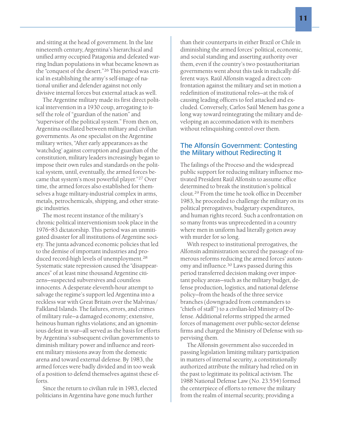and sitting at the head of government. In the late nineteenth century, Argentina's hierarchical and unified army occupied Patagonia and defeated warring Indian populations in what became known as the "conquest of the desert."<sup>26</sup> This period was critical in establishing the army's self-image of national unifier and defender against not only divisive internal forces but external attack as well.

The Argentine military made its first direct political intervention in a 1930 coup, arrogating to itself the role of "guardian of the nation" and "supervisor of the political system." From then on, Argentina oscillated between military and civilian governments. As one specialist on the Argentine military writes, "After early appearances as the 'watchdog' against corruption and guardian of the constitution, military leaders increasingly began to impose their own rules and standards on the political system, until, eventually, the armed forces became that system's most powerful player."<sup>27</sup> Over time, the armed forces also established for themselves a huge military-industrial complex in arms, metals, petrochemicals, shipping, and other strategic industries.

The most recent instance of the military's chronic political interventionism took place in the 1976–83 dictatorship. This period was an unmitigated disaster for all institutions of Argentine society. The junta advanced economic policies that led to the demise of important industries and produced record-high levels of unemployment.<sup>28</sup> Systematic state repression caused the "disappearances" of at least nine thousand Argentine citizens—suspected subversives and countless innocents. A desperate eleventh-hour attempt to salvage the regime's support led Argentina into a reckless war with Great Britain over the Malvinas/ Falkland Islands. The failures, errors, and crimes of military rule—a damaged economy; extensive, heinous human rights violations; and an ignominious defeat in war—all served as the basis for efforts by Argentina's subsequent civilian governments to diminish military power and influence and reorient military missions away from the domestic arena and toward external defense. By 1983, the armed forces were badly divided and in too weak of a position to defend themselves against these efforts.

Since the return to civilian rule in 1983, elected politicians in Argentina have gone much further

than their counterparts in either Brazil or Chile in diminishing the armed forces' political, economic, and social standing and asserting authority over them, even if the country's two postauthoritarian governments went about this task in radically different ways. Raúl Alfonsín waged a direct confrontation against the military and set in motion a redefinition of institutional roles—at the risk of causing leading officers to feel attacked and excluded. Conversely, Carlos Saúl Menem has gone a long way toward reintegrating the military and developing an accommodation with its members without relinquishing control over them.

## The Alfonsín Government: Contesting the Military without Redirecting It

The failings of the Proceso and the widespread public support for reducing military influence motivated President Raúl Alfonsín to assume office determined to break the institution's political clout.29 From the time he took office in December 1983, he proceeded to challenge the military on its political prerogatives, budgetary expenditures, and human rights record. Such a confrontation on so many fronts was unprecedented in a country where men in uniform had literally gotten away with murder for so long.

With respect to institutional prerogatives, the Alfonsín administration secured the passage of numerous reforms reducing the armed forces' autonomy and influence.<sup>30</sup> Laws passed during this period transferred decision making over important policy areas—such as the military budget, defense production, logistics, and national defense policy—from the heads of the three service branches (downgraded from commanders to "chiefs of staff") to a civilian-led Ministry of Defense. Additional reforms stripped the armed forces of management over public-sector defense firms and charged the Ministry of Defense with supervising them.

The Alfonsín government also succeeded in passing legislation limiting military participation in matters of internal security, a constitutionally authorized attribute the military had relied on in the past to legitimate its political activism. The 1988 National Defense Law (No. 23.554) formed the centerpiece of efforts to remove the military from the realm of internal security, providing a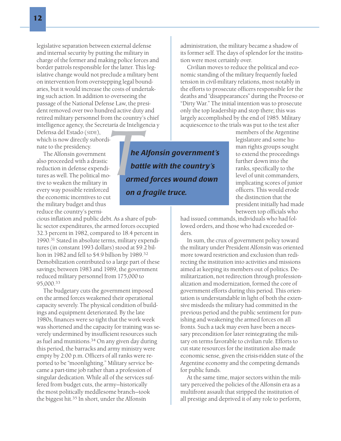legislative separation between external defense and internal security by putting the military in charge of the former and making police forces and border patrols responsible for the latter. This legislative change would not preclude a military bent on intervention from overstepping legal boundaries, but it would increase the costs of undertaking such action. In addition to overseeing the passage of the National Defense Law, the president removed over two hundred active duty and retired military personnel from the country's chief intelligence agency, the Secretaría de Inteligencia y

Defensa del Estado (SIDE), which is now directly subordinate to the presidency.

The Alfonsín government also proceeded with a drastic reduction in defense expenditures as well. The political motive to weaken the military in every way possible reinforced the economic incentives to cut the military budget and thus reduce the country's perni-

cious inflation and public debt. As a share of public sector expenditures, the armed forces occupied 32.3 percent in 1982, compared to 18.4 percent in 1990.<sup>31</sup> Stated in absolute terms, military expenditures (in constant 1993 dollars) stood at \$9.2 billion in 1982 and fell to \$4.9 billion by 1989.<sup>32</sup> Demobilization contributed to a large part of these savings; between 1983 and 1989, the government reduced military personnel from 175,000 to 95,000.33

The budgetary cuts the government imposed on the armed forces weakened their operational capacity severely. The physical condition of buildings and equipment deteriorated. By the late 1980s, finances were so tight that the work week was shortened and the capacity for training was severely undermined by insufficient resources such as fuel and munitions.<sup>34</sup> On any given day during this period, the barracks and army ministry were empty by 2:00 p.m. Officers of all ranks were reported to be "moonlighting." Military service became a part-time job rather than a profession of singular dedication. While all of the services suffered from budget cuts, the army—historically the most politically meddlesome branch—took the biggest hit.35 In short, under the Alfonsín

administration, the military became a shadow of its former self. The days of splendor for the institution were most certainly over.

Civilian moves to reduce the political and economic standing of the military frequently fueled tension in civil-military relations, most notably in the efforts to prosecute officers responsible for the deaths and "disappearances" during the Proceso or "Dirty War." The initial intention was to prosecute only the top leadership and stop there; this was largely accomplished by the end of 1985. Military acquiescence to the trials was put to the test after

> members of the Argentine legislature and some human rights groups sought to extend the proceedings further down into the ranks, specifically to the level of unit commanders, implicating scores of junior officers. This would erode the distinction that the president initially had made between top officials who

had issued commands, individuals who had followed orders, and those who had exceeded orders.

In sum, the crux of government policy toward the military under President Alfonsín was oriented more toward restriction and exclusion than redirecting the institution into activities and missions aimed at keeping its members out of politics. Demilitarization, not redirection through professionalization and modernization, formed the core of government efforts during this period. This orientation is understandable in light of both the extensive misdeeds the military had committed in the previous period and the public sentiment for punishing and weakening the armed forces on all fronts. Such a tack may even have been a necessary precondition for later reintegrating the military on terms favorable to civilian rule. Efforts to cut state resources for the institution also made economic sense, given the crisis-ridden state of the Argentine economy and the competing demands for public funds.

At the same time, major sectors within the military perceived the policies of the Alfonsín era as a multifront assault that stripped the institution of all prestige and deprived it of any role to perform,

*The Alfonsin government's*<br> *The Alfonsin government's*<br> *The Alfonsin government's*<br> *The Alfonsin government's battle with the country's armed forces wound down on a fragile truce.*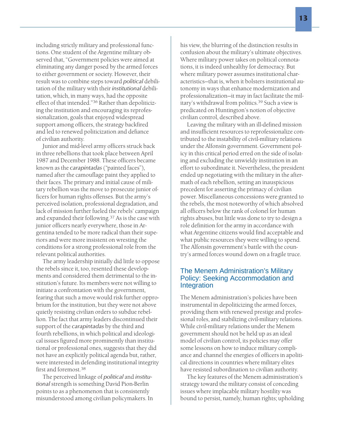including strictly military and professional functions. One student of the Argentine military observed that, "Government policies were aimed at eliminating any danger posed by the armed forces to either government or society. However, their result was to combine steps toward *political* debilitation of the military with their *institutional* debilitation, which, in many ways, had the opposite effect of that intended."<sup>36</sup> Rather than depoliticizing the institution and encouraging its reprofessionalization, goals that enjoyed widespread support among officers, the strategy backfired and led to renewed politicization and defiance of civilian authority.

Junior and mid-level army officers struck back in three rebellions that took place between April 1987 and December 1988. These officers became known as the *carapintadas* ("painted faces"), named after the camouflage paint they applied to their faces. The primary and initial cause of military rebellion was the move to prosecute junior officers for human rights offenses. But the army's perceived isolation, professional degradation, and lack of mission further fueled the rebels' campaign and expanded their following.<sup>37</sup> As is the case with junior officers nearly everywhere, those in Argentina tended to be more radical than their superiors and were more insistent on wresting the conditions for a strong professional role from the relevant political authorities.

The army leadership initially did little to oppose the rebels since it, too, resented these developments and considered them detrimental to the institution's future. Its members were not willing to initiate a confrontation with the government, fearing that such a move would risk further opprobrium for the institution, but they were not above quietly resisting civilian orders to subdue rebellion. The fact that army leaders discontinued their support of the *carapintadas* by the third and fourth rebellions, in which political and ideological issues figured more prominently than institutional or professional ones, suggests that they did not have an explicitly political agenda but, rather, were interested in defending institutional integrity first and foremost.<sup>38</sup>

The perceived linkage of *political* and *institutional* strength is something David Pion-Berlin points to as a phenomenon that is consistently misunderstood among civilian policymakers. In

his view, the blurring of the distinction results in confusion about the military's ultimate objectives. Where military power takes on political connotations, it is indeed unhealthy for democracy. But where military power assumes institutional characteristics—that is, when it bolsters institutional autonomy in ways that enhance modernization and professionalization—it may in fact facilitate the military's withdrawal from politics.39 Such a view is predicated on Huntington's notion of objective civilian control, described above.

Leaving the military with an ill-defined mission and insufficient resources to reprofessionalize contributed to the instability of civil-military relations under the Alfonsín government. Government policy in this critical period erred on the side of isolating and excluding the unwieldy institution in an effort to subordinate it. Nevertheless, the president ended up negotiating with the military in the aftermath of each rebellion, setting an inauspicious precedent for asserting the primacy of civilian power. Miscellaneous concessions were granted to the rebels, the most noteworthy of which absolved all officers below the rank of colonel for human rights abuses, but little was done to try to design a role definition for the army in accordance with what Argentine citizens would find acceptable and what public resources they were willing to spend. The Alfonsín government's battle with the country's armed forces wound down on a fragile truce.

## The Menem Administration's Military Policy: Seeking Accommodation and Integration

The Menem administration's policies have been instrumental in depoliticizing the armed forces, providing them with renewed prestige and professional roles, and stabilizing civil-military relations. While civil-military relations under the Menem government should not be held up as an ideal model of civilian control, its policies may offer some lessons on how to induce military compliance and channel the energies of officers in apolitical directions in countries where military elites have resisted subordination to civilian authority.

The key features of the Menem administration's strategy toward the military consist of conceding issues where implacable military hostility was bound to persist, namely, human rights; upholding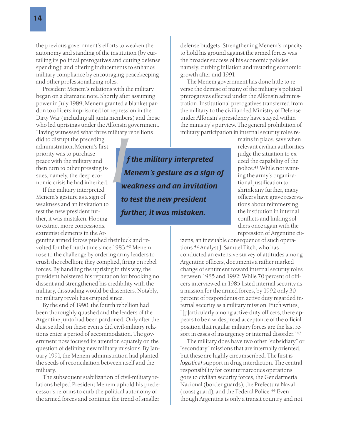the previous government's efforts to weaken the autonomy and standing of the institution (by curtailing its political prerogatives and cutting defense spending); and offering inducements to enhance military compliance by encouraging peacekeeping and other professionalizing roles.

President Menem's relations with the military began on a dramatic note. Shortly after assuming power in July 1989, Menem granted a blanket pardon to officers imprisoned for repression in the Dirty War (including all junta members) and those who led uprisings under the Alfonsín government. Having witnessed what three military rebellions

did to disrupt the preceding administration, Menem's first priority was to purchase peace with the military and then turn to other pressing issues, namely, the deep economic crisis he had inherited.

If the military interpreted Menem's gesture as a sign of weakness and an invitation to test the new president further, it was mistaken. Hoping to extract more concessions, extremist elements in the Ar-

gentine armed forces pushed their luck and revolted for the fourth time since 1983.<sup>40</sup> Menem rose to the challenge by ordering army leaders to crush the rebellion; they complied, firing on rebel forces. By handling the uprising in this way, the president bolstered his reputation for brooking no dissent and strengthened his credibility with the military, dissuading would-be dissenters. Notably, no military revolt has erupted since.

By the end of 1990, the fourth rebellion had been thoroughly quashed and the leaders of the Argentine junta had been pardoned. Only after the dust settled on these events did civil-military relations enter a period of accommodation. The government now focused its attention squarely on the question of defining new military missions. By January 1991, the Menem administration had planted the seeds of reconciliation between itself and the military.

The subsequent stabilization of civil-military relations helped President Menem uphold his predecessor's reforms to curb the political autonomy of the armed forces and continue the trend of smaller defense budgets. Strengthening Menem's capacity to hold his ground against the armed forces was the broader success of his economic policies, namely, curbing inflation and restoring economic growth after mid-1991.

The Menem government has done little to reverse the demise of many of the military's political prerogatives effected under the Alfonsín administration. Institutional prerogatives transferred from the military to the civilian-led Ministry of Defense under Alfonsín's presidency have stayed within the ministry's purview. The general prohibition of military participation in internal security roles re-

> mains in place, save when relevant civilian authorities judge the situation to exceed the capability of the police.<sup>41</sup> While not wanting the army's organizational justification to shrink any further, many officers have grave reservations about reimmersing the institution in internal conflicts and linking soldiers once again with the repression of Argentine cit-

izens, an inevitable consequence of such operations.42 Analyst J. Samuel Fitch, who has conducted an extensive survey of attitudes among Argentine officers, documents a rather marked change of sentiment toward internal security roles between 1985 and 1992: While 70 percent of officers interviewed in 1985 listed internal security as a mission for the armed forces, by 1992 only 30 percent of respondents on active duty regarded internal security as a military mission. Fitch writes, "[p]articularly among active-duty officers, there appears to be a widespread acceptance of the official position that regular military forces are the last resort in cases of insurgency or internal disorder."<sup>43</sup>

The military does have two other "subsidiary" or "secondary" missions that are internally oriented, but these are highly circumscribed. The first is *logistical* support in drug interdiction. The central responsibility for counternarcotics operations goes to civilian security forces, the Gendarmería Nacional (border guards), the Prefectura Naval (coast guard), and the Federal Police.44 Even though Argentina is only a transit country and not

*I*<br>*I*<br>*I*<br>*W f the military interpreted Menem's gesture as a sign of weakness and an invitation to test the new president further, it was mistaken.*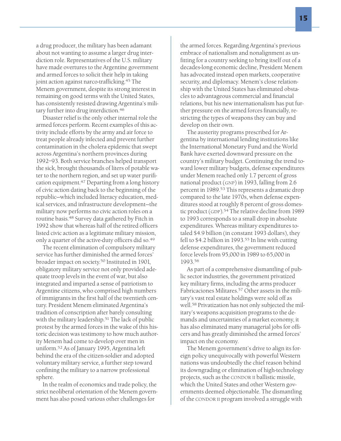a drug producer, the military has been adamant about not wanting to assume a larger drug interdiction role. Representatives of the U.S. military have made overtures to the Argentine government and armed forces to solicit their help in taking joint action against narco-trafficking.45 The Menem government, despite its strong interest in remaining on good terms with the United States, has consistently resisted drawing Argentina's military further into drug interdiction.<sup>46</sup>

Disaster relief is the only other internal role the armed forces perform. Recent examples of this activity include efforts by the army and air force to treat people already infected and prevent further contamination in the cholera epidemic that swept across Argentina's northern provinces during 1992–93. Both service branches helped transport the sick, brought thousands of liters of potable water to the northern region, and set up water purification equipment.47 Departing from a long history of civic action dating back to the beginning of the republic—which included literacy education, medical services, and infrastructure development—the military now performs no civic action roles on a routine basis.<sup>48</sup> Survey data gathered by Fitch in 1992 show that whereas half of the retired officers listed civic action as a legitimate military mission, only a quarter of the active-duty officers did so.<sup>49</sup>

The recent elimination of compulsory military service has further diminished the armed forces' broader impact on society.<sup>50</sup> Instituted in 1901, obligatory military service not only provided adequate troop levels in the event of war, but also integrated and imparted a sense of patriotism to Argentine citizens, who comprised high numbers of immigrants in the first half of the twentieth century. President Menem eliminated Argentina's tradition of conscription after barely consulting with the military leadership.<sup>51</sup> The lack of public protest by the armed forces in the wake of this historic decision was testimony to how much authority Menem had come to develop over men in uniform.<sup>52</sup> As of January 1995, Argentina left behind the era of the citizen-soldier and adopted voluntary military service, a further step toward confining the military to a narrow professional sphere.

In the realm of economics and trade policy, the strict neoliberal orientation of the Menem government has also posed various other challenges for

the armed forces. Regarding Argentina's previous embrace of nationalism and nonalignment as unfitting for a country seeking to bring itself out of a decades-long economic decline, President Menem has advocated instead open markets, cooperative security, and diplomacy. Menem's close relationship with the United States has eliminated obstacles to advantageous commercial and financial relations, but his new internationalism has put further pressure on the armed forces financially, restricting the types of weapons they can buy and develop on their own.

The austerity programs prescribed for Argentina by international lending institutions like the International Monetary Fund and the World Bank have exerted downward pressure on the country's military budget. Continuing the trend toward lower military budgets, defense expenditures under Menem reached only 1.7 percent of gross national product (GNP) in 1993, falling from 2.6 percent in 1989.53 This represents a dramatic drop compared to the late 1970s, when defense expenditures stood at roughly 8 percent of gross domestic product (GDP).<sup>54</sup> The relative decline from 1989 to 1993 corresponds to a small drop in absolute expenditures. Whereas military expenditures totaled \$4.9 billion (in constant 1993 dollars), they fell to \$4.2 billion in 1993.<sup>55</sup> In line with cutting defense expenditures, the government reduced force levels from 95,000 in 1989 to 65,000 in 1993.<sup>56</sup>

As part of a comprehensive dismantling of public sector industries, the government privatized key military firms, including the arms producer Fabricaciones Militares.57 Other assets in the military's vast real estate holdings were sold off as well.<sup>58</sup> Privatization has not only subjected the military's weapons acquisition programs to the demands and uncertainties of a market economy, it has also eliminated many managerial jobs for officers and has greatly diminished the armed forces' impact on the economy.

The Menem government's drive to align its foreign policy unequivocally with powerful Western nations was undoubtedly the chief reason behind its downgrading or elimination of high-technology projects, such as the CONDOR II ballistic missile, which the United States and other Western governments deemed objectionable. The dismantling of the CONDOR II program involved a struggle with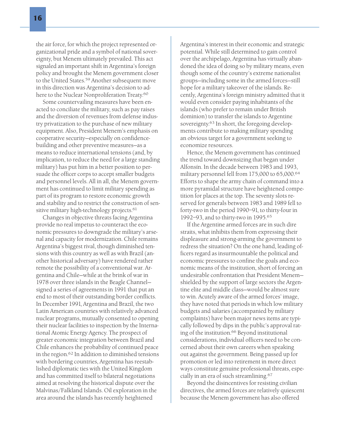the air force, for which the project represented organizational pride and a symbol of national sovereignty, but Menem ultimately prevailed. This act signaled an important shift in Argentina's foreign policy and brought the Menem government closer to the United States.<sup>59</sup> Another subsequent move in this direction was Argentina's decision to adhere to the Nuclear Nonproliferation Treaty.<sup>60</sup>

Some countervailing measures have been enacted to conciliate the military, such as pay raises and the diversion of revenues from defense industry privatization to the purchase of new military equipment. Also, President Menem's emphasis on cooperative security—especially on confidencebuilding and other preventive measures—as a means to reduce international tensions (and, by implication, to reduce the need for a large standing military) has put him in a better position to persuade the officer corps to accept smaller budgets and personnel levels. All in all, the Menem government has continued to limit military spending as part of its program to restore economic growth and stability and to restrict the construction of sensitive military high-technology projects.<sup>61</sup>

Changes in objective threats facing Argentina provide no real impetus to counteract the economic pressures to downgrade the military's arsenal and capacity for modernization. Chile remains Argentina's biggest rival, though diminished tensions with this country as well as with Brazil (another historical adversary) have rendered rather remote the possibility of a conventional war. Argentina and Chile—while at the brink of war in 1978 over three islands in the Beagle Channel signed a series of agreements in 1991 that put an end to most of their outstanding border conflicts. In December 1991, Argentina and Brazil, the two Latin American countries with relatively advanced nuclear programs, mutually consented to opening their nuclear facilities to inspection by the International Atomic Energy Agency. The prospect of greater economic integration between Brazil and Chile enhances the probability of continued peace in the region.62 In addition to diminished tensions with bordering countries, Argentina has reestablished diplomatic ties with the United Kingdom and has committed itself to bilateral negotiations aimed at resolving the historical dispute over the Malvinas/Falkland Islands. Oil exploration in the area around the islands has recently heightened

Argentina's interest in their economic and strategic potential. While still determined to gain control over the archipelago, Argentina has virtually abandoned the idea of doing so by military means, even though some of the country's extreme nationalist groups—including some in the armed forces—still hope for a military takeover of the islands. Recently, Argentina's foreign ministry admitted that it would even consider paying inhabitants of the islands (who prefer to remain under British dominion) to transfer the islands to Argentine sovereignty.<sup>63</sup> In short, the foregoing developments contribute to making military spending an obvious target for a government seeking to economize resources.

Hence, the Menem government has continued the trend toward downsizing that began under Alfonsín. In the decade between 1983 and 1993, military personnel fell from 175,000 to 65,000.<sup>64</sup> Efforts to shape the army chain of command into a more pyramidal structure have heightened competition for places at the top. The seventy slots reserved for generals between 1983 and 1989 fell to forty-two in the period 1990–91, to thirty-four in 1992–93, and to thirty-two in 1995.<sup>65</sup>

If the Argentine armed forces are in such dire straits, what inhibits them from expressing their displeasure and strong-arming the government to redress the situation? On the one hand, leading officers regard as insurmountable the political and economic pressures to confine the goals and economic means of the institution, short of forcing an undesirable confrontation that President Menem shielded by the support of large sectors the Argentine elite and middle class—would be almost sure to win. Acutely aware of the armed forces' image, they have noted that periods in which low military budgets and salaries (accompanied by military complaints) have been major news items are typically followed by dips in the public's approval rating of the institution.<sup>66</sup> Beyond institutional considerations, individual officers need to be concerned about their own careers when speaking out against the government. Being passed up for promotion or led into retirement in more direct ways constitute genuine professional threats, especially in an era of such streamlining.<sup>67</sup>

Beyond the disincentives for resisting civilian directives, the armed forces are relatively quiescent because the Menem government has also offered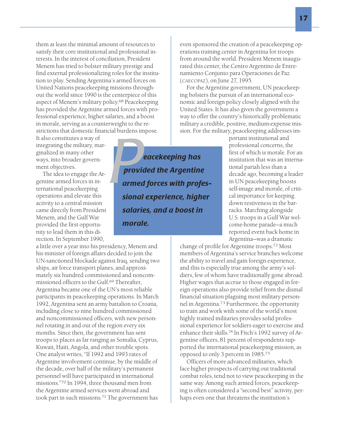them at least the minimal amount of resources to satisfy their core institutional and professional interests. In the interest of conciliation, President Menem has tried to bolster military prestige and find external professionalizing roles for the institution to play. Sending Argentina's armed forces on United Nations peacekeeping missions throughout the world since 1990 is the centerpiece of this aspect of Menem's military policy.<sup>68</sup> Peacekeeping has provided the Argentine armed forces with professional experience, higher salaries, and a boost in morale, serving as a counterweight to the restrictions that domestic financial burdens impose.

It also constitutes a way of integrating the military, marginalized in many other ways, into broader government objectives.

The idea to engage the Argentine armed forces in international peacekeeping operations and elevate this activity to a central mission came directly from President Menem, and the Gulf War provided the first opportunity to lead them in this direction. In September 1990,

a little over a year into his presidency, Menem and his minister of foreign affairs decided to join the UN-sanctioned blockade against Iraq, sending two ships, air force transport planes, and approximately six hundred commissioned and noncommissioned officers to the Gulf.69 Thereafter, Argentina became one of the UN's most reliable participants in peacekeeping operations. In March 1992, Argentina sent an army battalion to Croatia, including close to nine hundred commissioned and noncommissioned officers, with new personnel rotating in and out of the region every six months. Since then, the government has sent troops to places as far ranging as Somalia, Cyprus, Kuwait, Haiti, Angola, and other trouble spots. One analyst writes, "If 1992 and 1993 rates of Argentine involvement continue, by the middle of the decade, over half of the military's permanent personnel will have participated in international missions."<sup>70</sup> In 1994, three thousand men from the Argentine armed services went abroad and took part in such missions.71 The government has

**Provided the Argentinary Conducts**<br>**Provided the Argentinarmed forces with prof**<br>**Provided the Argentinarmed forces with prof** *provided the Argentine armed forces with professional experience, higher salaries, and a boost in morale.*

even sponsored the creation of a peacekeeping operations training center in Argentina for troops from around the world. President Menem inaugurated this center, the Centro Argentino de Entrenamiento Conjunto para Operaciones de Paz (CAECOPAZ), on June 27, 1995.

For the Argentine government, UN peacekeeping bolsters the pursuit of an international economic and foreign policy closely aligned with the United States. It has also given the government a way to offer the country's historically problematic military a credible, positive, medium-expense mission. For the military, peacekeeping addresses im-

> portant institutional and professional concerns, the first of which is morale. For an institution that was an international pariah less than a decade ago, becoming a leader in UN peacekeeping boosts self-image and morale, of critical importance for keeping down restiveness in the barracks. Marching alongside U.S. troops in a Gulf War welcome-home parade—a much reported event back home in Argentina—was a dramatic

change of profile for Argentine troops.<sup>72</sup> Most members of Argentina's service branches welcome the ability to travel and gain foreign experience, and this is especially true among the army's soldiers, few of whom have traditionally gone abroad. Higher wages that accrue to those engaged in foreign operations also provide relief from the dismal financial situation plaguing most military personnel in Argentina.<sup>73</sup> Furthermore, the opportunity to train and work with some of the world's most highly trained militaries provides solid professional experience for soldiers eager to exercise and enhance their skills.<sup>74</sup> In Fitch's 1992 survey of Argentine officers, 81 percent of respondents supported the international peacekeeping mission, as opposed to only 3 percent in 1985.<sup>75</sup>

Officers of more advanced militaries, which face higher prospects of carrying out traditional combat roles, tend not to view peacekeeping in the same way. Among such armed forces, peacekeeping is often considered a "second best" activity, perhaps even one that threatens the institution's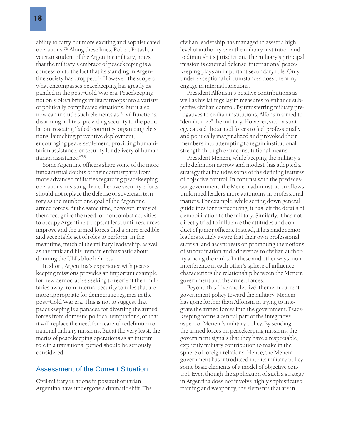ability to carry out more exciting and sophisticated operations.76 Along these lines, Robert Potash, a veteran student of the Argentine military, notes that the military's embrace of peacekeeping is a concession to the fact that its standing in Argentine society has dropped.<sup>77</sup> However, the scope of what encompasses peacekeeping has greatly expanded in the post–Cold War era. Peacekeeping not only often brings military troops into a variety of politically complicated situations, but it also now can include such elements as "civil functions, disarming militias, providing security to the population, rescuing 'failed' countries, organizing elections, launching preventive deployment, encouraging peace settlement, providing humanitarian assistance, or security for delivery of humanitarian assistance."78

Some Argentine officers share some of the more fundamental doubts of their counterparts from more advanced militaries regarding peacekeeping operations, insisting that collective security efforts should not replace the defense of sovereign territory as the number one goal of the Argentine armed forces. At the same time, however, many of them recognize the need for noncombat activities to occupy Argentine troops, at least until resources improve and the armed forces find a more credible and acceptable set of roles to perform. In the meantime, much of the military leadership, as well as the rank and file, remain enthusiastic about donning the UN's blue helmets.

In short, Argentina's experience with peacekeeping missions provides an important example for new democracies seeking to reorient their militaries away from internal security to roles that are more appropriate for democratic regimes in the post–Cold War era. This is not to suggest that peacekeeping is a panacea for diverting the armed forces from domestic political temptations, or that it will replace the need for a careful redefinition of national military missions. But at the very least, the merits of peacekeeping operations as an interim role in a transitional period should be seriously considered.

### Assessment of the Current Situation

Civil-military relations in postauthoritarian Argentina have undergone a dramatic shift. The

civilian leadership has managed to assert a high level of authority over the military institution and to diminish its jurisdiction. The military's principal mission is external defense; international peacekeeping plays an important secondary role. Only under exceptional circumstances does the army engage in internal functions.

President Alfonsín's positive contributions as well as his failings lay in measures to enhance subjective civilian control. By transferring military prerogatives to civilian institutions, Alfonsín aimed to "demilitarize" the military. However, such a strategy caused the armed forces to feel professionally and politically marginalized and provoked their members into attempting to regain institutional strength through extraconstitutional means.

President Menem, while keeping the military's role definition narrow and modest, has adopted a strategy that includes some of the defining features of objective control. In contrast with the predecessor government, the Menem administration allows uniformed leaders more autonomy in professional matters. For example, while setting down general guidelines for restructuring, it has left the details of demobilization to the military. Similarly, it has not directly tried to influence the attitudes and conduct of junior officers. Instead, it has made senior leaders acutely aware that their own professional survival and ascent rests on promoting the notions of subordination and adherence to civilian authority among the ranks. In these and other ways, noninterference in each other's sphere of influence characterizes the relationship between the Menem government and the armed forces.

Beyond this "live and let live" theme in current government policy toward the military, Menem has gone further than Alfonsín in trying to integrate the armed forces into the government. Peacekeeping forms a central part of the integrative aspect of Menem's military policy. By sending the armed forces on peacekeeping missions, the government signals that they have a respectable, explicitly military contribution to make in the sphere of foreign relations. Hence, the Menem government has introduced into its military policy some basic elements of a model of objective control. Even though the application of such a strategy in Argentina does not involve highly sophisticated training and weaponry, the elements that are in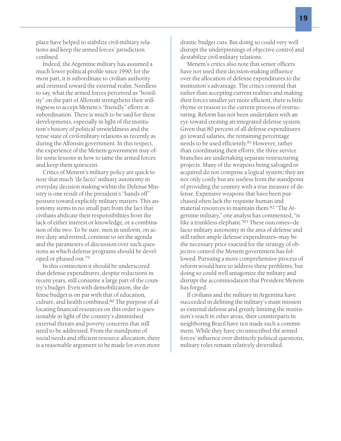place have helped to stabilize civil-military relations and keep the armed forces' jurisdiction confined.

Indeed, the Argentine military has assumed a much lower political profile since 1990; for the most part, it is subordinate to civilian authority and oriented toward the external realm. Needless to say, what the armed forces perceived as "hostility" on the part of Alfonsín strengthens their willingness to accept Menem's "friendly" efforts at subordination. There is much to be said for these developments, especially in light of the institution's history of political unwieldiness and the tense state of civil-military relations as recently as during the Alfonsín government. In this respect, the experience of the Menem government may offer some lessons in how to tame the armed forces and keep them quiescent.

Critics of Menem's military policy are quick to note that much "de facto" military autonomy in everyday decision making within the Defense Ministry is one result of the president's "hands off" posture toward explicitly military matters. This autonomy stems in no small part from the fact that civilians abdicate their responsibilities from the lack of either interest or knowledge, or a combination of the two. To be sure, men in uniform, on active duty and retired, continue to set the agenda and the parameters of discussion over such questions as which defense programs should be developed or phased out.<sup>79</sup>

In this connection it should be underscored that defense expenditures, despite reductions in recent years, still consume a large part of the country's budget. Even with demobilization, the defense budget is on par with that of education, culture, and health combined.80 The purpose of allocating financial resources on this order is questionable in light of the country's diminished external threats and poverty concerns that still need to be addressed. From the standpoint of social needs and efficient resource allocation, there is a reasonable argument to be made for even more

drastic budget cuts. But doing so could very well disrupt the underpinnings of objective control and destabilize civil-military relations.

Menem's critics also note that senior officers have not used their decision-making influence over the allocation of defense expenditures to the institution's advantage. The critics contend that rather than accepting current realities and making their forces smaller yet more efficient, there is little rhyme or reason to the current process of restructuring. Reform has not been undertaken with an eye toward creating an integrated defense system. Given that 80 percent of all defense expenditures go toward salaries, the remaining percentage needs to be used efficiently.<sup>81</sup> However, rather than coordinating their efforts, the three service branches are undertaking separate restructuring projects. Many of the weapons being salvaged or acquired do not comprise a logical system; they are not only costly but are useless from the standpoint of providing the country with a true measure of defense. Expensive weapons that have been purchased often lack the requisite human and material resources to maintain them.<sup>82</sup> "The Argentine military," one analyst has commented, "is like a trunkless elephant."<sup>83</sup> These outcomes—de facto military autonomy in the area of defense and still rather ample defense expenditures—may be the necessary price exacted for the strategy of objective control the Menem government has followed. Pursuing a more comprehensive process of reform would have to address these problems, but doing so could well antagonize the military and disrupt the accommodation that President Menem has forged.

If civilians and the military in Argentina have succeeded in defining the military's main mission as external defense and greatly limiting the institution's reach in other areas, their counterparts in neighboring Brazil have not made such a commitment. While they have circumscribed the armed forces' influence over distinctly political questions, military roles remain relatively diversified.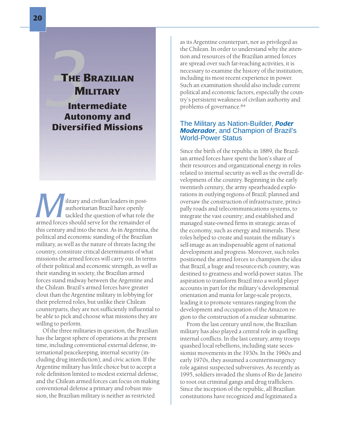# **3**<br>**7** HE B<br>Inter<br>Autor THE BRAZILIAN **MILITARY** Intermediate Autonomy and Diversified Missions

*Military and civilian leaders in post-*<br>
authoritarian Brazil have openly<br>
tackled the question of what role the<br>
tarmed forces should serve for the remainder of authoritarian Brazil have openly tackled the question of what role the this century and into the next. As in Argentina, the political and economic standing of the Brazilian military, as well as the nature of threats facing the country, constitute critical determinants of what missions the armed forces will carry out. In terms of their political and economic strength, as well as their standing in society, the Brazilian armed forces stand midway between the Argentine and the Chilean. Brazil's armed forces have greater clout than the Argentine military in lobbying for their preferred roles, but unlike their Chilean counterparts, they are not sufficiently influential to be able to pick and choose what missions they are willing to perform.

Of the three militaries in question, the Brazilian has the largest sphere of operations at the present time, including conventional external defense, international peacekeeping, internal security (including drug interdiction), and civic action. If the Argentine military has little choice but to accept a role definition limited to modest external defense, and the Chilean armed forces can focus on making conventional defense a primary and robust mission, the Brazilian military is neither as restricted

as its Argentine counterpart, nor as privileged as the Chilean. In order to understand why the attention and resources of the Brazilian armed forces are spread over such far-reaching activities, it is necessary to examine the history of the institution, including its most recent experience in power. Such an examination should also include current political and economic factors, especially the country's persistent weakness of civilian authority and problems of governance.84

# The Military as Nation-Builder, *Poder Moderador*, and Champion of Brazil's World-Power Status

Since the birth of the republic in 1889, the Brazilian armed forces have spent the lion's share of their resources and organizational energy in roles related to internal security as well as the overall development of the country. Beginning in the early twentieth century, the army spearheaded explorations in outlying regions of Brazil; planned and oversaw the construction of infrastructure, principally roads and telecommunications systems, to integrate the vast country; and established and managed state-owned firms in strategic areas of the economy, such as energy and minerals. These roles helped to create and sustain the military's self-image as an indispensable agent of national development and progress. Moreover, such roles positioned the armed forces to champion the idea that Brazil, a huge and resource-rich country, was destined to greatness and world-power status. The aspiration to transform Brazil into a world player accounts in part for the military's developmental orientation and mania for large-scale projects, leading it to promote ventures ranging from the development and occupation of the Amazon region to the construction of a nuclear submarine.

From the last century until now, the Brazilian military has also played a central role in quelling internal conflicts. In the last century, army troops quashed local rebellions, including state secessionist movements in the 1930s. In the 1960s and early 1970s, they assumed a counterinsurgency role against suspected subversives. As recently as 1995, soldiers invaded the slums of Rio de Janeiro to root out criminal gangs and drug traffickers. Since the inception of the republic, all Brazilian constitutions have recognized and legitimated a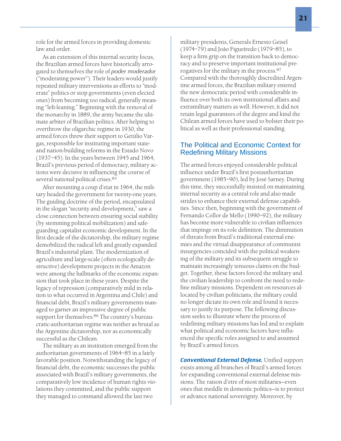role for the armed forces in providing domestic law and order.

As an extension of this internal security focus, the Brazilian armed forces have historically arrogated to themselves the role of *poder moderador* ("moderating power"). Their leaders would justify repeated military interventions as efforts to "moderate" politics or stop governments (even elected ones) from becoming too radical, generally meaning "left-leaning." Beginning with the removal of the monarchy in 1889, the army became the ultimate arbiter of Brazilian politics. After helping to overthrow the oligarchic regime in 1930, the armed forces threw their support to Getúlio Vargas, responsible for instituting important stateand nation-building reforms in the Estado Novo (1937–45). In the years between 1945 and 1964, Brazil's previous period of democracy, military actions were decisive in influencing the course of several national political crises.85

After mounting a coup d'etat in 1964, the military headed the government for twenty-one years. The guiding doctrine of the period, encapsulated in the slogan "security and development," saw a close connection between ensuring social stability (by stemming political mobilization) and safeguarding capitalist economic development. In the first decade of the dictatorship, the military regime demobilized the radical left and greatly expanded Brazil's industrial plant. The modernization of agriculture and large-scale (often ecologically destructive) development projects in the Amazon were among the hallmarks of the economic expansion that took place in these years. Despite the legacy of repression (comparatively mild in relation to what occurred in Argentina and Chile) and financial debt, Brazil's military governments managed to garner an impressive degree of public support for themselves.<sup>86</sup> The country's bureaucratic-authoritarian regime was neither as brutal as the Argentine dictatorship, nor as economically successful as the Chilean.

The military as an institution emerged from the authoritarian governments of 1964–85 in a fairly favorable position. Notwithstanding the legacy of financial debt, the economic successes the public associated with Brazil's military governments, the comparatively low incidence of human rights violations they committed, and the public support they managed to command allowed the last two

military presidents, Generals Ernesto Geisel (1974–79) and João Figueiredo (1979–85), to keep a firm grip on the transition back to democracy and to preserve important institutional prerogatives for the military in the process.87 Compared with the thoroughly discredited Argentine armed forces, the Brazilian military entered the new democratic period with considerable influence over both its own institutional affairs and extramilitary matters as well. However, it did not retain legal guarantees of the degree and kind the Chilean armed forces have used to bolster their political as well as their professional standing.

# The Political and Economic Context for Redefining Military Missions

The armed forces enjoyed considerable political influence under Brazil's first postauthoritarian government (1985–90), led by José Sarney. During this time, they successfully insisted on maintaining internal security as a central role and also made strides to enhance their external defense capabilities. Since then, beginning with the government of Fernando Collor de Mello (1990–92), the military has become more vulnerable to civilian influences that impinge on its role definition. The diminution of threats from Brazil's traditional external enemies and the virtual disappearance of communist insurgencies coincided with the political weakening of the military and its subsequent struggle to maintain increasingly tenuous claims on the budget. Together, these factors forced the military and the civilian leadership to confront the need to redefine military missions. Dependent on resources allocated by civilian politicians, the military could no longer dictate its own role and found it necessary to justify its purpose. The following discussion seeks to illustrate where the process of redefining military missions has led and to explain what political and economic factors have influenced the specific roles assigned to and assumed by Brazil's armed forces.

*Conventional External Defense.* Unified support exists among all branches of Brazil's armed forces for expanding conventional external defense missions. The raison d'etre of most militaries—even ones that meddle in domestic politics—is to protect or advance national sovereignty. Moreover, by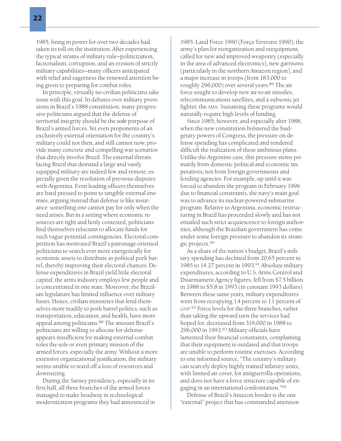1985, being in power for over two decades had taken its toll on the institution. After experiencing the typical strains of military rule—politicization, factionalism, corruption, and an erosion of strictly military capabilities—many officers anticipated with relief and eagerness the renewed attention being given to preparing for combat roles.

In principle, virtually no civilian politicians take issue with this goal. In debates over military provisions in Brazil's 1988 constitution, many progressive politicians argued that the defense of territorial integrity should be the *sole* purpose of Brazil's armed forces. Yet even proponents of an exclusively external orientation for the country's military could not then, and still cannot now, provide many concrete and compelling war scenarios that directly involve Brazil. The external threats facing Brazil that demand a large and vastly equipped military are indeed few and remote, especially given the resolution of previous disputes with Argentina. Even leading officers themselves are hard pressed to point to tangible external enemies, arguing instead that defense is like insurance: something one cannot pay for only when the need arises. But in a setting where economic resources are tight and hotly contested, politicians find themselves reluctant to allocate funds for such vague potential contingencies. Electoral competition has motivated Brazil's patronage-oriented politicians to search ever more energetically for economic assets to distribute as political pork barrel, thereby improving their electoral chances. Defense expenditures in Brazil yield little electoral capital; the arms industry employs few people and is concentrated in one state. Moreover, the Brazilian legislature has limited influence over military bases. Hence, civilian ministries that lend themselves more readily to pork barrel politics, such as transportation, education, and health, have more appeal among politicians.<sup>88</sup> The amount Brazil's politicians are willing to allocate for defense appears insufficient for making external combat roles the sole or even primary mission of the armed forces, especially the army. Without a more extensive organizational justification, the military seems unable to ward off a loss of resources and downsizing.

During the Sarney presidency, especially in its first half, all three branches of the armed forces managed to make headway in technological modernization programs they had announced in 1985. Land Force 1990 (Força Terrestre 1990), the army's plan for reorganization and reequipment, called for new and improved weaponry (especially in the area of advanced electronics), new garrisons (particularly in the northern Amazon region), and a major increase in troops (from 183,000 to roughly 296,000) over several years.<sup>89</sup> The air force sought to develop new air-to-air missiles, telecommunications satellites, and a subsonic jet fighter, the AMX. Sustaining these programs would naturally require high levels of funding.

Since 1985, however, and especially after 1988, when the new constitution bolstered the budgetary powers of Congress, the pressure on defense spending has complicated and rendered difficult the realization of these ambitious plans. Unlike the Argentine case, this pressure stems primarily from domestic political and economic imperatives, not from foreign governments and lending agencies. For example, up until it was forced to abandon the program in February 1996 due to financial constraints, the navy's main goal was to advance its nuclear-powered submarine program. Relative to Argentina, economic restructuring in Brazil has proceeded slowly and has not entailed such strict acquiescence to foreign authorities, although the Brazilian government has come under some foreign pressure to abandon its strategic projects.<sup>90</sup>

As a share of the nation's budget, Brazil's military spending has declined from 20.65 percent in 1985 to 14.27 percent in 1993.<sup>91</sup> Absolute military expenditures, according to U.S. Arms Control and Disarmament Agency figures, fell from \$7.5 billion in 1988 to \$5.8 in 1993 (in constant 1993 dollars). Between these same years, military expenditures went from occupying 1.4 percent to 1.1 percent of GNP. <sup>92</sup> Force levels for the three branches, rather than taking the upward turn the services had hoped for, decreased from 319,000 in 1988 to 296,000 in 1993.<sup>93</sup> Military officials have lamented their financial constraints, complaining that their equipment is outdated and that troops are unable to perform routine exercises. According to one informed source, "The country's military can scarcely deploy highly trained infantry units, with limited air cover, for antiguerrilla operations, and does not have a force structure capable of engaging in an international confrontation."94

Defense of Brazil's Amazon border is the one "external" project that has commanded attention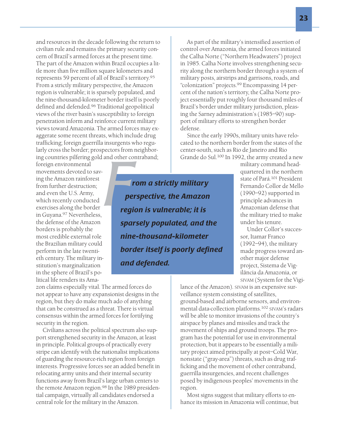and resources in the decade following the return to civilian rule and remains the primary security concern of Brazil's armed forces at the present time. The part of the Amazon within Brazil occupies a little more than five million square kilometers and represents 59 percent of all of Brazil's territory.<sup>95</sup> From a strictly military perspective, the Amazon region is vulnerable; it is sparsely populated, and the nine-thousand-kilometer border itself is poorly defined and defended.96 Traditional geopolitical views of the river basin's susceptibility to foreign penetration inform and reinforce current military views toward Amazonia. The armed forces may exaggerate some recent threats, which include drug trafficking; foreign guerrilla insurgents who regularly cross the border; prospectors from neighboring countries pilfering gold and other contraband;

foreign environmental movements devoted to saving the Amazon rainforest from further destruction; and even the U.S. Army, which recently conducted exercises along the border in Guyana.<sup>97</sup> Nevertheless, the defense of the Amazon borders is probably the most credible external role the Brazilian military could perform in the late twentieth century. The military institution's marginalization in the sphere of Brazil's political life renders its Ama-

zon claims especially vital. The armed forces do not appear to have any expansionist designs in the region, but they do make much ado of anything that can be construed as a threat. There is virtual consensus within the armed forces for fortifying security in the region.

Civilians across the political spectrum also support strengthened security in the Amazon, at least in principle. Political groups of practically every stripe can identify with the nationalist implications of guarding the resource-rich region from foreign interests. Progressive forces see an added benefit in relocating army units and their internal security functions away from Brazil's large urban centers to the remote Amazon region.<sup>98</sup> In the 1989 presidential campaign, virtually all candidates endorsed a central role for the military in the Amazon.

As part of the military's intensified assertion of control over Amazonia, the armed forces initiated the Calha Norte ("Northern Headwaters") project in 1985. Calha Norte involves strengthening security along the northern border through a system of military posts, airstrips and garrisons, roads, and "colonization" projects.<sup>99</sup> Encompassing 14 percent of the nation's territory, the Calha Norte project essentially put roughly four thousand miles of Brazil's border under military jurisdiction, pleasing the Sarney administration's (1985–90) support of military efforts to strengthen border defense.

Since the early 1990s, military units have relocated to the northern border from the states of the center-south, such as Rio de Janeiro and Rio Grande do Sul.<sup>100</sup> In 1992, the army created a new

and other contraband;<br> **From a strictly military**<br> **From a strictly military**<br> **From a strictly military**<br> **From is vulnerable; it is**<br> **From is vulnerable; it is** *perspective, the Amazon region is vulnerable; it is sparsely populated, and the nine-thousand-kilometer border itself is poorly defined and defended.*

military command headquartered in the northern state of Pará.101 President Fernando Collor de Mello (1990–92) supported in principle advances in Amazonian defense that the military tried to make under his tenure.

Under Collor's successor, Itamar Franco (1992–94), the military made progress toward another major defense project, Sistema de Vigilância da Amazonia, or SIVAM (System for the Vigi-

lance of the Amazon). SIVAM is an expensive surveillance system consisting of satellites, ground-based and airborne sensors, and environmental data-collection platforms.<sup>102</sup> SIVAM's radars will be able to monitor invasions of the country's airspace by planes and missiles and track the movement of ships and ground troops. The program has the potential for use in environmental protection, but it appears to be essentially a military project aimed principally at post–Cold War, nonstate ("gray-area") threats, such as drug trafficking and the movement of other contraband, guerrilla insurgencies, and recent challenges posed by indigenous peoples' movements in the region.

Most signs suggest that military efforts to enhance its mission in Amazonia will continue, but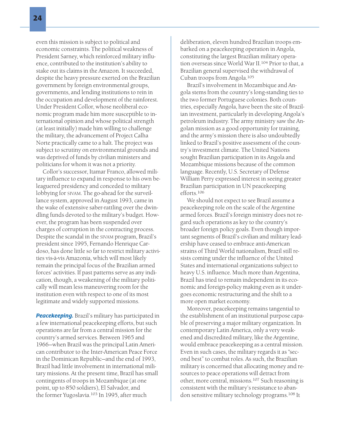even this mission is subject to political and economic constraints. The political weakness of President Sarney, which reinforced military influence, contributed to the institution's ability to stake out its claims in the Amazon. It succeeded, despite the heavy pressure exerted on the Brazilian government by foreign environmental groups, governments, and lending institutions to rein in the occupation and development of the rainforest. Under President Collor, whose neoliberal economic program made him more susceptible to international opinion and whose political strength (at least initially) made him willing to challenge the military, the advancement of Project Calha Norte practically came to a halt. The project was subject to scrutiny on environmental grounds and was deprived of funds by civilian ministers and politicians for whom it was not a priority.

Collor's successor, Itamar Franco, allowed military influence to expand in response to his own beleaguered presidency and conceded to military lobbying for SIVAM. The go-ahead for the surveillance system, approved in August 1993, came in the wake of extensive saber-rattling over the dwindling funds devoted to the military's budget. However, the program has been suspended over charges of corruption in the contracting process. Despite the scandal in the SIVAM program, Brazil's president since 1995, Fernando Henrique Cardoso, has done little so far to restrict military activities vis-à-vis Amazonia, which will most likely remain the principal focus of the Brazilian armed forces' activities. If past patterns serve as any indication, though, a weakening of the military politically will mean less maneuvering room for the institution even with respect to one of its most legitimate and widely supported missions.

*Peacekeeping.* Brazil's military has participated in a few international peacekeeping efforts, but such operations are far from a central mission for the country's armed services. Between 1965 and 1966—when Brazil was the principal Latin American contributor to the Inter-American Peace Force in the Dominican Republic—and the end of 1993, Brazil had little involvement in international military missions. At the present time, Brazil has small contingents of troops in Mozambique (at one point, up to 850 soldiers), El Salvador, and the former Yugoslavia.<sup>103</sup> In 1995, after much

deliberation, eleven hundred Brazilian troops embarked on a peacekeeping operation in Angola, constituting the largest Brazilian military operation overseas since World War II.<sup>104</sup> Prior to that, a Brazilian general supervised the withdrawal of Cuban troops from Angola.105

Brazil's involvement in Mozambique and Angola stems from the country's long-standing ties to the two former Portuguese colonies. Both countries, especially Angola, have been the site of Brazilian investment, particularly in developing Angola's petroleum industry. The army ministry saw the Angolan mission as a good opportunity for training, and the army's mission there is also undoubtedly linked to Brazil's positive assessment of the country's investment climate. The United Nations sought Brazilian participation in its Angola and Mozambique missions because of the common language. Recently, U.S. Secretary of Defense William Perry expressed interest in seeing greater Brazilian participation in UN peacekeeping efforts.106

We should not expect to see Brazil assume a peacekeeping role on the scale of the Argentine armed forces. Brazil's foreign ministry does not regard such operations as key to the country's broader foreign policy goals. Even though important segments of Brazil's civilian and military leadership have ceased to embrace anti-American strains of Third World nationalism, Brazil still resists coming under the influence of the United States and international organizations subject to heavy U.S. influence. Much more than Argentina, Brazil has tried to remain independent in its economic and foreign-policy making even as it undergoes economic restructuring and the shift to a more open market economy.

Moreover, peacekeeping remains tangential to the establishment of an institutional purpose capable of preserving a major military organization. In contemporary Latin America, only a very weakened and discredited military, like the Argentine, would embrace peacekeeping as a central mission. Even in such cases, the military regards it as "second best" to combat roles. As such, the Brazilian military is concerned that allocating money and resources to peace operations will detract from other, more central, missions.<sup>107</sup> Such reasoning is consistent with the military's resistance to abandon sensitive military technology programs.108 It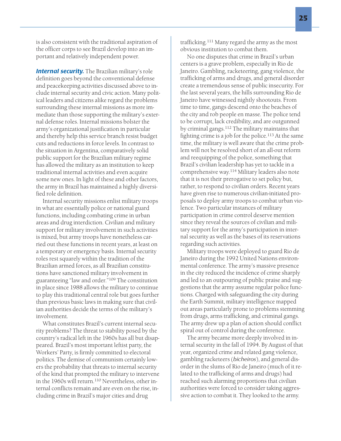is also consistent with the traditional aspiration of the officer corps to see Brazil develop into an important and relatively independent power.

**Internal security.** The Brazilian military's role definition goes beyond the conventional defense and peacekeeping activities discussed above to include internal security and civic action. Many political leaders and citizens alike regard the problems surrounding these internal missions as more immediate than those supporting the military's external defense roles. Internal missions bolster the army's organizational justification in particular and thereby help this service branch resist budget cuts and reductions in force levels. In contrast to the situation in Argentina, comparatively solid public support for the Brazilian military regime has allowed the military as an institution to keep traditional internal activities and even acquire some new ones. In light of these and other factors, the army in Brazil has maintained a highly diversified role definition.

Internal security missions enlist military troops in what are essentially police or national guard functions, including combating crime in urban areas and drug interdiction. Civilian and military support for military involvement in such activities is mixed, but army troops have nonetheless carried out these functions in recent years, at least on a temporary or emergency basis. Internal security roles rest squarely within the tradition of the Brazilian armed forces, as all Brazilian constitutions have sanctioned military involvement in guaranteeing "law and order."<sup>109</sup> The constitution in place since 1988 allows the military to continue to play this traditional central role but goes further than previous basic laws in making sure that civilian authorities decide the terms of the military's involvement.

What constitutes Brazil's current internal security problems? The threat to stability posed by the country's radical left in the 1960s has all but disappeared. Brazil's most important leftist party, the Workers' Party, is firmly committed to electoral politics. The demise of communism certainly lowers the probability that threats to internal security of the kind that prompted the military to intervene in the 1960s will return.<sup>110</sup> Nevertheless, other internal conflicts remain and are even on the rise, including crime in Brazil's major cities and drug

trafficking.111 Many regard the army as the most obvious institution to combat them.

No one disputes that crime in Brazil's urban centers is a grave problem, especially in Rio de Janeiro. Gambling, racketeering, gang violence, the trafficking of arms and drugs, and general disorder create a tremendous sense of public insecurity. For the last several years, the hills surrounding Rio de Janeiro have witnessed nightly shootouts. From time to time, gangs descend onto the beaches of the city and rob people en masse. The police tend to be corrupt, lack credibility, and are outgunned by criminal gangs.112 The military maintains that fighting crime is a job for the police.<sup>113</sup> At the same time, the military is well aware that the crime problem will not be resolved short of an all-out reform and reequipping of the police, something that Brazil's civilian leadership has yet to tackle in a comprehensive way.<sup>114</sup> Military leaders also note that it is not their prerogative to set policy but, rather, to respond to civilian orders. Recent years have given rise to numerous civilian-initiated proposals to deploy army troops to combat urban violence. Two particular instances of military participation in crime control deserve mention since they reveal the sources of civilian and military support for the army's participation in internal security as well as the bases of its reservations regarding such activities.

Military troops were deployed to guard Rio de Janeiro during the 1992 United Nations environmental conference. The army's massive presence in the city reduced the incidence of crime sharply and led to an outpouring of public praise and suggestions that the army assume regular police functions. Charged with safeguarding the city during the Earth Summit, military intelligence mapped out areas particularly prone to problems stemming from drugs, arms trafficking, and criminal gangs. The army drew up a plan of action should conflict spiral out of control during the conference.

The army became more deeply involved in internal security in the fall of 1994. By August of that year, organized crime and related gang violence, gambling racketeers (*bicheiros*), and general disorder in the slums of Rio de Janeiro (much of it related to the trafficking of arms and drugs) had reached such alarming proportions that civilian authorities were forced to consider taking aggressive action to combat it. They looked to the army.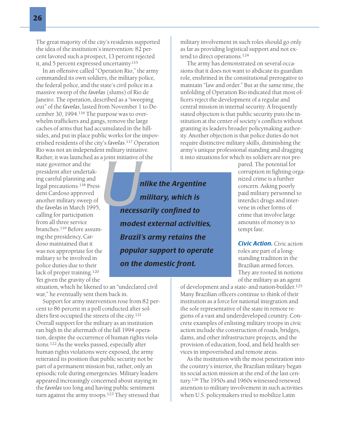The great majority of the city's residents supported the idea of the institution's intervention: 82 percent favored such a prospect, 13 percent rejected it, and 5 percent expressed uncertainty.115

In an offensive called "Operation Rio," the army commanded its own soldiers, the military police, the federal police, and the state's civil police in a massive sweep of the *favelas* (slums) of Rio de Janeiro. The operation, described as a "sweeping out" of the *favelas*, lasted from November 1 to December 30, 1994.<sup>116</sup> The purpose was to overwhelm traffickers and gangs, remove the large caches of arms that had accumulated in the hillsides, and put in place public works for the impoverished residents of the city's *favelas*. <sup>117</sup> Operation Rio was not an independent military initiative. Rather, it was launched as a joint initiative of the

state governor and the president after undertaking careful planning and legal precautions.<sup>118</sup> President Cardoso approved another military sweep of the *favelas* in March 1995, calling for participation from all three service branches.<sup>119</sup> Before assuming the presidency, Cardoso maintained that it was not appropriate for the military to be involved in police duties due to their lack of proper training.<sup>120</sup> Yet given the gravity of the

*u* joint initiative of the the situalistics in the situalistics of the **military, which is necessarily confined to** *military, which is necessarily confined to modest external activities, Brazil's army retains the popular support to operate on the domestic front.*

military involvement in such roles should go only as far as providing logistical support and not extend to direct operations.124

The army has demonstrated on several occasions that it does not want to abdicate its guardian role, enshrined in the constitutional prerogative to maintain "law and order." But at the same time, the unfolding of Operation Rio indicated that most officers reject the development of a regular and central mission in internal security. A frequently stated objection is that public security puts the institution at the center of society's conflicts without granting its leaders broader policymaking authority. Another objection is that police duties do not require distinctive military skills, diminishing the army's unique professional standing and dragging it into situations for which its soldiers are not pre-

pared. The potential for corruption in fighting organized crime is a further concern. Asking poorly paid military personnel to interdict drugs and intervene in other forms of crime that involve large amounts of money is to tempt fate.

*Civic Action.* Civic action roles are part of a longstanding tradition in the Brazilian armed forces. They are rooted in notions of the military as an agent

of development and a state- and nation-builder.125 Many Brazilian officers continue to think of their institution as a force for national integration and the sole representative of the state in remote regions of a vast and underdeveloped country. Concrete examples of enlisting military troops in civic action include the construction of roads, bridges, dams, and other infrastructure projects, and the provision of education, food, and field health services in impoverished and remote areas.

As the institution with the most penetration into the country's interior, the Brazilian military began its social action mission at the end of the last century.<sup>126</sup> The 1950s and 1960s witnessed renewed attention to military involvement in such activities when U.S. policymakers tried to mobilize Latin

situation, which he likened to an "undeclared civil war," he eventually sent them back in.

Support for army intervention rose from 82 percent to 86 percent in a poll conducted after soldiers first occupied the streets of the city.<sup>121</sup> Overall support for the military as an institution ran high in the aftermath of the fall 1994 operation, despite the occurrence of human rights violations.122 As the weeks passed, especially after human rights violations were exposed, the army reiterated its position that public security not be part of a permanent mission but, rather, only an episodic role during emergencies. Military leaders appeared increasingly concerned about staying in the *favelas* too long and having public sentiment turn against the army troops.<sup>123</sup> They stressed that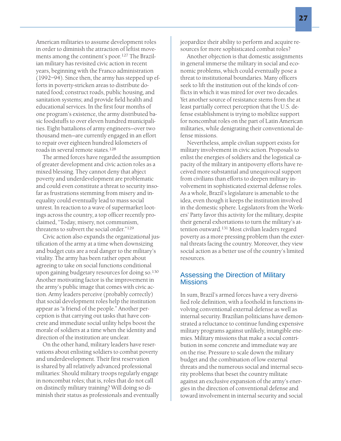American militaries to assume development roles in order to diminish the attraction of leftist movements among the continent's poor.127 The Brazilian military has revisited civic action in recent years, beginning with the Franco administration (1992–94). Since then, the army has stepped up efforts in poverty-stricken areas to distribute donated food; construct roads, public housing, and sanitation systems; and provide field health and educational services. In the first four months of one program's existence, the army distributed basic foodstuffs to over eleven hundred municipalities. Eight battalions of army engineers—over two thousand men—are currently engaged in an effort to repair over eighteen hundred kilometers of roads in several remote states.<sup>128</sup>

The armed forces have regarded the assumption of greater development and civic action roles as a mixed blessing. They cannot deny that abject poverty and underdevelopment are problematic and could even constitute a threat to security insofar as frustrations stemming from misery and inequality could eventually lead to mass social unrest. In reaction to a wave of supermarket lootings across the country, a top officer recently proclaimed, "Today, misery, not communism, threatens to subvert the social order."129

Civic action also expands the organizational justification of the army at a time when downsizing and budget cuts are a real danger to the military's vitality. The army has been rather open about agreeing to take on social functions conditional upon gaining budgetary resources for doing so.130 Another motivating factor is the improvement in the army's public image that comes with civic action. Army leaders perceive (probably correctly) that social development roles help the institution appear as "a friend of the people." Another perception is that carrying out tasks that have concrete and immediate social utility helps boost the morale of soldiers at a time when the identity and direction of the institution are unclear.

On the other hand, military leaders have reservations about enlisting soldiers to combat poverty and underdevelopment. Their first reservation is shared by all relatively advanced professional militaries: Should military troops regularly engage in noncombat roles; that is, roles that do not call on distinctly military training? Will doing so diminish their status as professionals and eventually jeopardize their ability to perform and acquire resources for more sophisticated combat roles?

Another objection is that domestic assignments in general immerse the military in social and economic problems, which could eventually pose a threat to institutional boundaries. Many officers seek to lift the institution out of the kinds of conflicts in which it was mired for over two decades. Yet another source of resistance stems from the at least partially correct perception that the U.S. defense establishment is trying to mobilize support for noncombat roles on the part of Latin American militaries, while denigrating their conventional defense missions.

Nevertheless, ample civilian support exists for military involvement in civic action. Proposals to enlist the energies of soldiers and the logistical capacity of the military in antipoverty efforts have received more substantial and unequivocal support from civilians than efforts to deepen military involvement in sophisticated external defense roles. As a whole, Brazil's legislature is amenable to the idea, even though it keeps the institution involved in the domestic sphere. Legislators from the Workers' Party favor this activity for the military, despite their general exhortations to turn the military's attention outward.<sup>131</sup> Most civilian leaders regard poverty as a more pressing problem than the external threats facing the country. Moreover, they view social action as a better use of the country's limited resources.

## Assessing the Direction of Military **Missions**

In sum, Brazil's armed forces have a very diversified role definition, with a foothold in functions involving conventional external defense as well as internal security. Brazilian politicians have demonstrated a reluctance to continue funding expensive military programs against unlikely, intangible enemies. Military missions that make a social contribution in some concrete and immediate way are on the rise. Pressure to scale down the military budget and the combination of low external threats and the numerous social and internal security problems that beset the country militate against an exclusive expansion of the army's energies in the direction of conventional defense and toward involvement in internal security and social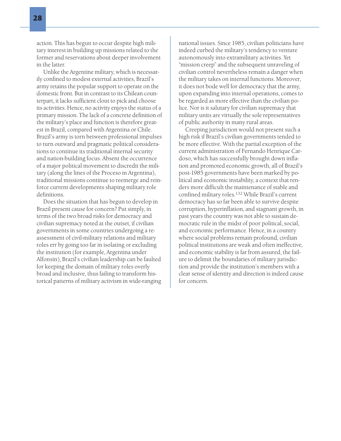action. This has begun to occur despite high military interest in building up missions related to the former and reservations about deeper involvement in the latter.

Unlike the Argentine military, which is necessarily confined to modest external activities, Brazil's army retains the popular support to operate on the domestic front. But in contrast to its Chilean counterpart, it lacks sufficient clout to pick and choose its activities. Hence, no activity enjoys the status of a primary mission. The lack of a concrete definition of the military's place and function is therefore greatest in Brazil, compared with Argentina or Chile. Brazil's army is torn between professional impulses to turn outward and pragmatic political considerations to continue its traditional internal security and nation-building focus. Absent the occurrence of a major political movement to discredit the military (along the lines of the Proceso in Argentina), traditional missions continue to reemerge and reinforce current developments shaping military role definitions.

Does the situation that has begun to develop in Brazil present cause for concern? Put simply, in terms of the two broad risks for democracy and civilian supremacy noted at the outset, if civilian governments in some countries undergoing a reassessment of civil-military relations and military roles err by going too far in isolating or excluding the institution (for example, Argentina under Alfonsín), Brazil's civilian leadership can be faulted for keeping the domain of military roles overly broad and inclusive, thus failing to transform historical patterns of military activism in wide-ranging national issues. Since 1985, civilian politicians have indeed curbed the military's tendency to venture autonomously into extramilitary activities. Yet "mission creep" and the subsequent unraveling of civilian control nevertheless remain a danger when the military takes on internal functions. Moreover, it does not bode well for democracy that the army, upon expanding into internal operations, comes to be regarded as more effective than the civilian police. Nor is it salutary for civilian supremacy that military units are virtually the sole representatives of public authority in many rural areas.

Creeping jurisdiction would not present such a high risk if Brazil's civilian governments tended to be more effective. With the partial exception of the current administration of Fernando Henrique Cardoso, which has successfully brought down inflation and promoted economic growth, all of Brazil's post-1985 governments have been marked by political and economic instability, a context that renders more difficult the maintenance of stable and confined military roles.<sup>132</sup> While Brazil's current democracy has so far been able to survive despite corruption, hyperinflation, and stagnant growth, in past years the country was not able to sustain democratic rule in the midst of poor political, social, and economic performance. Hence, in a country where social problems remain profound, civilian political institutions are weak and often ineffective, and economic stability is far from assured, the failure to delimit the boundaries of military jurisdiction and provide the institution's members with a clear sense of identity and direction is indeed cause for concern.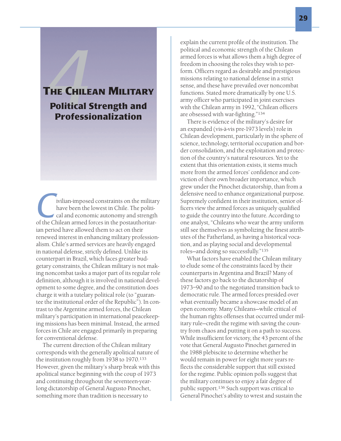# T HE CHILEAN MILITARY **FHE CHILE**<br>Political !<br>Professi Political Strength and Professionalization

**C**ivilian-imposed constraints on the military<br>have been the lowest in Chile. The politi-<br>cal and economic autonomy and strength<br>of the Chilean armed forces in the postauthoritarhave been the lowest in Chile. The political and economic autonomy and strength ian period have allowed them to act on their renewed interest in enhancing military professionalism. Chile's armed services are heavily engaged in national defense, strictly defined. Unlike its counterpart in Brazil, which faces greater budgetary constraints, the Chilean military is not making noncombat tasks a major part of its regular role definition, although it is involved in national development to some degree, and the constitution does charge it with a tutelary political role (to "guarantee the institutional order of the Republic"). In contrast to the Argentine armed forces, the Chilean military's participation in international peacekeeping missions has been minimal. Instead, the armed forces in Chile are engaged primarily in preparing for conventional defense.

The current direction of the Chilean military corresponds with the generally apolitical nature of the institution roughly from 1938 to 1970.<sup>133</sup> However, given the military's sharp break with this apolitical stance beginning with the coup of 1973 and continuing throughout the seventeen-yearlong dictatorship of General Augusto Pinochet, something more than tradition is necessary to

explain the current profile of the institution. The political and economic strength of the Chilean armed forces is what allows them a high degree of freedom in choosing the roles they wish to perform. Officers regard as desirable and prestigious missions relating to national defense in a strict sense, and these have prevailed over noncombat functions. Stated more dramatically by one U.S. army officer who participated in joint exercises with the Chilean army in 1992, "Chilean officers are obsessed with war-fighting."<sup>134</sup>

There is evidence of the military's desire for an expanded (vis-à-vis pre-1973 levels) role in Chilean development, particularly in the sphere of science, technology, territorial occupation and border consolidation, and the exploitation and protection of the country's natural resources. Yet to the extent that this orientation exists, it stems much more from the armed forces' confidence and conviction of their own broader importance, which grew under the Pinochet dictatorship, than from a defensive need to enhance organizational purpose. Supremely confident in their institution, senior officers view the armed forces as uniquely qualified to guide the country into the future. According to one analyst, "Chileans who wear the army uniform still see themselves as symbolizing the finest attributes of the Fatherland, as having a historical vocation, and as playing social and developmental roles—and doing so successfully."<sup>135</sup>

What factors have enabled the Chilean military to elude some of the constraints faced by their counterparts in Argentina and Brazil? Many of these factors go back to the dictatorship of 1973–90 and to the negotiated transition back to democratic rule. The armed forces presided over what eventually became a showcase model of an open economy. Many Chileans—while critical of the human rights offenses that occurred under military rule—credit the regime with saving the country from chaos and putting it on a path to success. While insufficient for victory, the 43 percent of the vote that General Augusto Pinochet garnered in the 1988 plebiscite to determine whether he would remain in power for eight more years reflects the considerable support that still existed for the regime. Public opinion polls suggest that the military continues to enjoy a fair degree of public support.136 Such support was critical to General Pinochet's ability to wrest and sustain the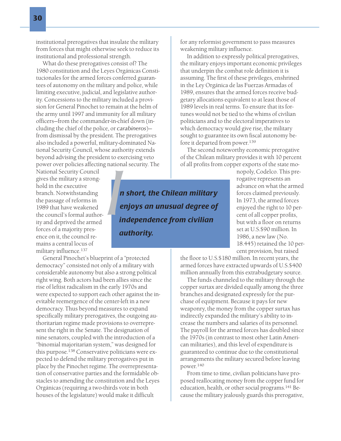institutional prerogatives that insulate the military from forces that might otherwise seek to reduce its institutional and professional strength.

What do these prerogatives consist of? The 1980 constitution and the Leyes Orgánicas Constitucionales for the armed forces conferred guarantees of autonomy on the military and police, while limiting executive, judicial, and legislative authority. Concessions to the military included a provision for General Pinochet to remain at the helm of the army until 1997 and immunity for all military officers—from the commander-in-chief down (including the chief of the police, or *carabineros*) from dismissal by the president. The prerogatives also included a powerful, military-dominated National Security Council, whose authority extends beyond advising the president to exercising veto power over policies affecting national security. The

National Security Council gives the military a stronghold in the executive branch. Notwithstanding the passage of reforms in 1989 that have weakened the council's formal authority and deprived the armed forces of a majority presence on it, the council remains a central locus of military influence.137

General Pinochet's blueprint of a "protected democracy" consisted not only of a military with considerable autonomy but also a strong political right wing. Both actors had been allies since the rise of leftist radicalism in the early 1970s and were expected to support each other against the inevitable reemergence of the center-left in a new democracy. Thus beyond measures to expand specifically military prerogatives, the outgoing authoritarian regime made provisions to overrepresent the right in the Senate. The designation of nine senators, coupled with the introduction of a "binomial majoritarian system," was designed for this purpose.<sup>138</sup> Conservative politicians were expected to defend the military prerogatives put in place by the Pinochet regime. The overrepresentation of conservative parties and the formidable obstacles to amending the constitution and the Leyes Orgánicas (requiring a two-thirds vote in both houses of the legislature) would make it difficult

**I**<br> **I**<br> **I**<br> **I**<br> **I** *n short, the Chilean military enjoys an unusual degree of independence from civilian authority.*

for any reformist government to pass measures weakening military influence.

In addition to expressly political prerogatives, the military enjoys important economic privileges that underpin the combat role definition it is assuming. The first of these privileges, enshrined in the Ley Orgánica de las Fuerzas Armadas of 1989, ensures that the armed forces receive budgetary allocations equivalent to at least those of 1989 levels in real terms. To ensure that its fortunes would not be tied to the whims of civilian politicians and to the electoral imperatives to which democracy would give rise, the military sought to guarantee its own fiscal autonomy before it departed from power.<sup>139</sup>

The second noteworthy economic prerogative of the Chilean military provides it with 10 percent of all profits from copper exports of the state mo-

> nopoly, Codelco. This prerogative represents an advance on what the armed forces claimed previously. In 1973, the armed forces enjoyed the right to 10 percent of all copper profits, but with a floor on returns set at U.S.\$90 million. In 1986, a new law (No. 18.445) retained the 10 percent provision, but raised

the floor to U.S.\$180 million. In recent years, the armed forces have extracted upwards of U.S.\$400 million annually from this extrabudgetary source.

The funds channeled to the military through the copper surtax are divided equally among the three branches and designated expressly for the purchase of equipment. Because it pays for new weaponry, the money from the copper surtax has indirectly expanded the military's ability to increase the numbers and salaries of its personnel. The payroll for the armed forces has doubled since the 1970s (in contrast to most other Latin American militaries), and this level of expenditure is guaranteed to continue due to the constitutional arrangements the military secured before leaving power.<sup>140</sup>

From time to time, civilian politicians have proposed reallocating money from the copper fund for education, health, or other social programs.141 Because the military jealously guards this prerogative,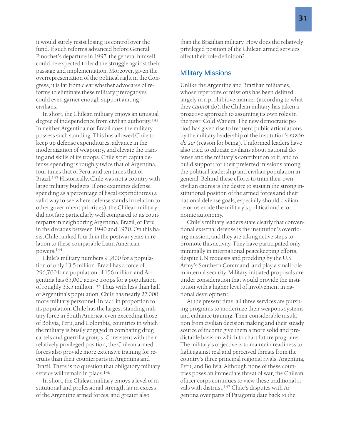it would surely resist losing its control over the fund. If such reforms advanced before General Pinochet's departure in 1997, the general himself could be expected to lead the struggle against their passage and implementation. Moreover, given the overrepresentation of the political right in the Congress, it is far from clear whether advocates of reforms to eliminate these military prerogatives could even garner enough support among civilians.

In short, the Chilean military enjoys an unusual degree of independence from civilian authority.<sup>142</sup> In neither Argentina nor Brazil does the military possess such standing. This has allowed Chile to keep up defense expenditures, advance in the modernization of weaponry, and elevate the training and skills of its troops. Chile's per capita defense spending is roughly twice that of Argentina, four times that of Peru, and ten times that of Brazil.143 Historically, Chile was not a country with large military budgets. If one examines defense spending as a percentage of fiscal expenditures (a valid way to see where defense stands in relation to other government priorities), the Chilean military did not fare particularly well compared to its counterparts in neighboring Argentina, Brazil, or Peru in the decades between 1940 and 1970. On this basis, Chile ranked fourth in the postwar years in relation to these comparable Latin American powers.<sup>144</sup>

Chile's military numbers 91,800 for a population of only 13.5 million. Brazil has a force of 296,700 for a population of 156 million and Argentina has 65,000 active troops for a population of roughly 33.5 million.<sup>145</sup> Thus with less than half of Argentina's population, Chile has nearly 27,000 more military personnel. In fact, in proportion to its population, Chile has the largest standing military force in South America, even exceeding those of Bolivia, Peru, and Colombia, countries in which the military is busily engaged in combating drug cartels and guerrilla groups. Consistent with their relatively privileged position, the Chilean armed forces also provide more extensive training for recruits than their counterparts in Argentina and Brazil. There is no question that obligatory military service will remain in place.<sup>146</sup>

In short, the Chilean military enjoys a level of institutional and professional strength far in excess of the Argentine armed forces, and greater also

than the Brazilian military. How does the relatively privileged position of the Chilean armed services affect their role definition?

### Military Missions

Unlike the Argentine and Brazilian militaries, whose repertoire of missions has been defined largely in a prohibitive manner (according to what they *cannot* do), the Chilean military has taken a proactive approach to assuming its own roles in the post–Cold War era. The new democratic period has given rise to frequent public articulations by the military leadership of the institution's *razón de ser* (reason for being). Uniformed leaders have also tried to educate civilians about national defense and the military's contribution to it, and to build support for their preferred missions among the political leadership and civilian population in general. Behind these efforts to train their own civilian cadres is the desire to sustain the strong institutional position of the armed forces and their national defense goals, especially should civilian reforms erode the military's political and economic autonomy.

Chile's military leaders state clearly that conventional external defense is the institution's overriding mission, and they are taking active steps to promote this activity. They have participated only minimally in international peacekeeping efforts, despite UN requests and prodding by the U.S. Army's Southern Command, and play a small role in internal security. Military-initiated proposals are under consideration that would provide the institution with a higher level of involvement in national development.

At the present time, all three services are pursuing programs to modernize their weapons systems and enhance training. Their considerable insulation from civilian decision making and their steady source of income give them a more solid and predictable basis on which to chart future programs. The military's objective is to maintain readiness to fight against real and perceived threats from the country's three principal regional rivals: Argentina, Peru, and Bolivia. Although none of these countries poses an immediate threat of war, the Chilean officer corps continues to view these traditional rivals with distrust.<sup>147</sup> Chile's disputes with Argentina over parts of Patagonia date back to the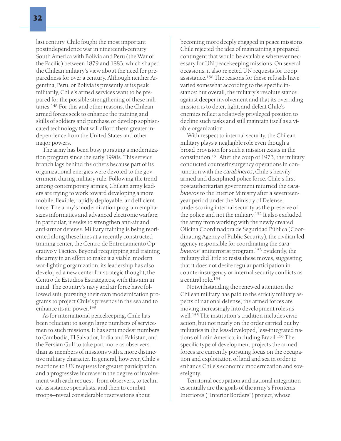last century. Chile fought the most important postindependence war in nineteenth-century South America with Bolivia and Peru (the War of the Pacific) between 1879 and 1883, which shaped the Chilean military's view about the need for preparedness for over a century. Although neither Argentina, Peru, or Bolivia is presently at its peak militarily, Chile's armed services want to be prepared for the possible strengthening of these militaries.<sup>148</sup> For this and other reasons, the Chilean armed forces seek to enhance the training and skills of soldiers and purchase or develop sophisticated technology that will afford them greater independence from the United States and other major powers.

The army has been busy pursuing a modernization program since the early 1990s. This service branch lags behind the others because part of its organizational energies were devoted to the government during military rule. Following the trend among contemporary armies, Chilean army leaders are trying to work toward developing a more mobile, flexible, rapidly deployable, and efficient force. The army's modernization program emphasizes informatics and advanced electronic warfare; in particular, it seeks to strengthen anti-air and anti-armor defense. Military training is being reoriented along these lines at a recently constructed training center, the Centro de Entrenamiento Operativo y Táctico. Beyond reequipping and training the army in an effort to make it a viable, modern war-fighting organization, its leadership has also developed a new center for strategic thought, the Centro de Estudios Estratégicos, with this aim in mind. The country's navy and air force have followed suit, pursuing their own modernization programs to project Chile's presence in the sea and to enhance its air power.<sup>149</sup>

As for international peacekeeping, Chile has been reluctant to assign large numbers of servicemen to such missions. It has sent modest numbers to Cambodia, El Salvador, India and Pakistan, and the Persian Gulf to take part more as observers than as members of missions with a more distinctive military character. In general, however, Chile's reactions to UN requests for greater participation, and a progressive increase in the degree of involvement with each request—from observers, to technical-assistance specialists, and then to combat troops—reveal considerable reservations about

becoming more deeply engaged in peace missions. Chile rejected the idea of maintaining a prepared contingent that would be available whenever necessary for UN peacekeeping missions. On several occasions, it also rejected UN requests for troop assistance.<sup>150</sup> The reasons for these refusals have varied somewhat according to the specific instance; but overall, the military's resolute stance against deeper involvement and that its overriding mission is to deter, fight, and defeat Chile's enemies reflect a relatively privileged position to decline such tasks and still maintain itself as a viable organization.

With respect to internal security, the Chilean military plays a negligible role even though a broad provision for such a mission exists in the constitution.<sup>151</sup> After the coup of 1973, the military conducted counterinsurgency operations in conjunction with the *carabineros*, Chile's heavily armed and disciplined police force. Chile's first postauthoritarian government returned the *carabineros* to the Interior Ministry after a seventeenyear period under the Ministry of Defense, underscoring internal security as the preserve of the police and not the military.<sup>152</sup> It also excluded the army from working with the newly created Oficina Coordinadora de Seguridad Pública (Coordinating Agency of Public Security), the civilian-led agency responsible for coordinating the *carabineros'* antiterrorist program.<sup>153</sup> Evidently, the military did little to resist these moves, suggesting that it does not desire regular participation in counterinsurgency or internal security conflicts as a central role.<sup>154</sup>

Notwithstanding the renewed attention the Chilean military has paid to the strictly military aspects of national defense, the armed forces are moving increasingly into development roles as well.<sup>155</sup> The institution's tradition includes civic action, but not nearly on the order carried out by militaries in the less-developed, less-integrated nations of Latin America, including Brazil.156 The specific type of development projects the armed forces are currently pursuing focus on the occupation and exploitation of land and sea in order to enhance Chile's economic modernization and sovereignty.

Territorial occupation and national integration essentially are the goals of the army's Fronteras Interiores ("Interior Borders") project, whose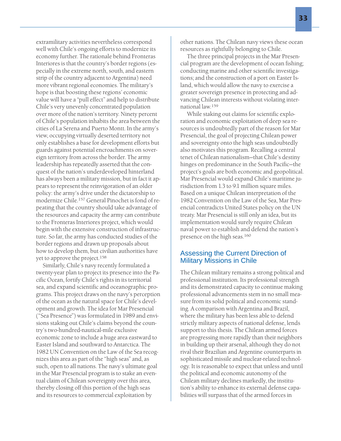33

extramilitary activities nevertheless correspond well with Chile's ongoing efforts to modernize its economy further. The rationale behind Fronteras Interiores is that the country's border regions (especially in the extreme north, south, and eastern strip of the country adjacent to Argentina) need more vibrant regional economies. The military's hope is that boosting these regions' economic value will have a "pull effect" and help to distribute Chile's very unevenly concentrated population over more of the nation's territory. Ninety percent of Chile's population inhabits the area between the cities of La Serena and Puerto Montt. In the army's view, occupying virtually deserted territory not only establishes a base for development efforts but guards against potential encroachments on sovereign territory from across the border. The army leadership has repeatedly asserted that the conquest of the nation's underdeveloped hinterland has always been a military mission, but in fact it appears to represent the reinvigoration of an older policy: the army's drive under the dictatorship to modernize Chile.<sup>157</sup> General Pinochet is fond of repeating that the country should take advantage of the resources and capacity the army can contribute to the Fronteras Interiores project, which would begin with the extensive construction of infrastructure. So far, the army has conducted studies of the border regions and drawn up proposals about how to develop them, but civilian authorities have yet to approve the project.<sup>158</sup>

Similarly, Chile's navy recently formulated a twenty-year plan to project its presence into the Pacific Ocean, fortify Chile's rights in its territorial sea, and expand scientific and oceanographic programs. This project draws on the navy's perception of the ocean as the natural space for Chile's development and growth. The idea for Mar Presencial ("Sea Presence") was formulated in 1989 and envisions staking out Chile's claims beyond the country's two-hundred-nautical-mile exclusive economic zone to include a huge area eastward to Easter Island and southward to Antarctica. The 1982 UN Convention on the Law of the Sea recognizes this area as part of the "high seas" and, as such, open to all nations. The navy's ultimate goal in the Mar Presencial program is to stake an eventual claim of Chilean sovereignty over this area, thereby closing off this portion of the high seas and its resources to commercial exploitation by

other nations. The Chilean navy views these ocean resources as rightfully belonging to Chile.

The three principal projects in the Mar Presencial program are the development of ocean fishing; conducting marine and other scientific investigations; and the construction of a port on Easter Island, which would allow the navy to exercise a greater sovereign presence in protecting and advancing Chilean interests without violating international law.<sup>159</sup>

While staking out claims for scientific exploration and economic exploitation of deep sea resources is undoubtedly part of the reason for Mar Presencial, the goal of projecting Chilean power and sovereignty onto the high seas undoubtedly also motivates this program. Recalling a central tenet of Chilean nationalism—that Chile's destiny hinges on predominance in the South Pacific—the project's goals are both economic and geopolitical. Mar Presencial would expand Chile's maritime jurisdiction from 1.3 to 9.1 million square miles. Based on a unique Chilean interpretation of the 1982 Convention on the Law of the Sea, Mar Presencial contradicts United States policy on the UN treaty. Mar Presencial is still only an idea, but its implementation would surely require Chilean naval power to establish and defend the nation's presence on the high seas.<sup>160</sup>

# Assessing the Current Direction of Military Missions in Chile

The Chilean military remains a strong political and professional institution. Its professional strength and its demonstrated capacity to continue making professional advancements stem in no small measure from its solid political and economic standing. A comparison with Argentina and Brazil, where the military has been less able to defend strictly military aspects of national defense, lends support to this thesis. The Chilean armed forces are progressing more rapidly than their neighbors in building up their arsenal, although they do not rival their Brazilian and Argentine counterparts in sophisticated missile and nuclear-related technology. It is reasonable to expect that unless and until the political and economic autonomy of the Chilean military declines markedly, the institution's ability to enhance its external defense capabilities will surpass that of the armed forces in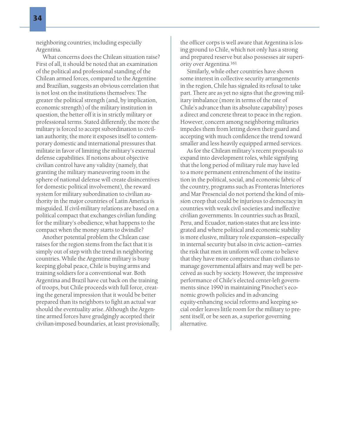neighboring countries, including especially Argentina.

What concerns does the Chilean situation raise? First of all, it should be noted that an examination of the political and professional standing of the Chilean armed forces, compared to the Argentine and Brazilian, suggests an obvious correlation that is not lost on the institutions themselves: The greater the political strength (and, by implication, economic strength) of the military institution in question, the better off it is in strictly military or professional terms. Stated differently, the more the military is forced to accept subordination to civilian authority, the more it exposes itself to contemporary domestic and international pressures that militate in favor of limiting the military's external defense capabilities. If notions about objective civilian control have any validity (namely, that granting the military maneuvering room in the sphere of national defense will create disincentives for domestic political involvement), the reward system for military subordination to civilian authority in the major countries of Latin America is misguided. If civil-military relations are based on a political compact that exchanges civilian funding for the military's obedience, what happens to the compact when the money starts to dwindle?

Another potential problem the Chilean case raises for the region stems from the fact that it is simply out of step with the trend in neighboring countries. While the Argentine military is busy keeping global peace, Chile is buying arms and training soldiers for a conventional war. Both Argentina and Brazil have cut back on the training of troops, but Chile proceeds with full force, creating the general impression that it would be better prepared than its neighbors to fight an actual war should the eventuality arise. Although the Argentine armed forces have grudgingly accepted their civilian-imposed boundaries, at least provisionally, the officer corps is well aware that Argentina is losing ground to Chile, which not only has a strong and prepared reserve but also possesses air superiority over Argentina.161

Similarly, while other countries have shown some interest in collective security arrangements in the region, Chile has signaled its refusal to take part. There are as yet no signs that the growing military imbalance (more in terms of the rate of Chile's advance than its absolute capability) poses a direct and concrete threat to peace in the region. However, concern among neighboring militaries impedes them from letting down their guard and accepting with much confidence the trend toward smaller and less heavily equipped armed services.

As for the Chilean military's recent proposals to expand into development roles, while signifying that the long period of military rule may have led to a more permanent entrenchment of the institution in the political, social, and economic fabric of the country, programs such as Fronteras Interiores and Mar Presencial do not portend the kind of mission creep that could be injurious to democracy in countries with weak civil societies and ineffective civilian governments. In countries such as Brazil, Peru, and Ecuador, nation-states that are less integrated and where political and economic stability is more elusive, military role expansion—especially in internal security but also in civic action—carries the risk that men in uniform will come to believe that they have more competence than civilians to manage governmental affairs and may well be perceived as such by society. However, the impressive performance of Chile's elected center-left governments since 1990 in maintaining Pinochet's economic growth policies and in advancing equity-enhancing social reforms and keeping social order leaves little room for the military to present itself, or be seen as, a superior governing alternative.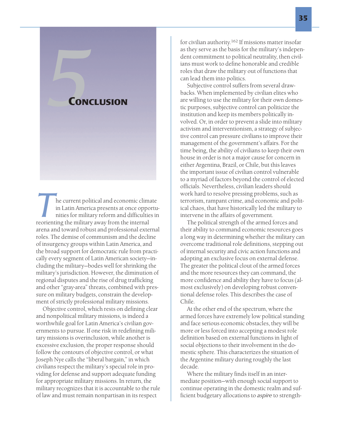# **EXPLORE CONCLUSION**

**The current political and economic climate**<br>
in Latin America presents at once opportu<br>
nities for military reform and difficulties in<br>
reorienting the military away from the internal in Latin America presents at once opportunities for military reform and difficulties in arena and toward robust and professional external roles. The demise of communism and the decline of insurgency groups within Latin America, and the broad support for democratic rule from practically every segment of Latin American society—including the military—bodes well for shrinking the military's jurisdiction. However, the diminution of regional disputes and the rise of drug trafficking and other "gray-area" threats, combined with pressure on military budgets, constrain the development of strictly professional military missions.

Objective control, which rests on defining clear and nonpolitical military missions, is indeed a worthwhile goal for Latin America's civilian governments to pursue. If one risk in redefining military missions is overinclusion, while another is excessive exclusion, the proper response should follow the contours of objective control, or what Joseph Nye calls the "liberal bargain," in which civilians respect the military's special role in providing for defense and support adequate funding for appropriate military missions. In return, the military recognizes that it is accountable to the rule of law and must remain nonpartisan in its respect

for civilian authority.<sup>162</sup> If missions matter insofar as they serve as the basis for the military's independent commitment to political neutrality, then civilians must work to define honorable and credible roles that draw the military out of functions that can lead them into politics.

Subjective control suffers from several drawbacks. When implemented by civilian elites who are willing to use the military for their own domestic purposes, subjective control can politicize the institution and keep its members politically involved. Or, in order to prevent a slide into military activism and interventionism, a strategy of subjective control can pressure civilians to improve their management of the government's affairs. For the time being, the ability of civilians to keep their own house in order is not a major cause for concern in either Argentina, Brazil, or Chile, but this leaves the important issue of civilian control vulnerable to a myriad of factors beyond the control of elected officials. Nevertheless, civilian leaders should work hard to resolve pressing problems, such as terrorism, rampant crime, and economic and political chaos, that have historically led the military to intervene in the affairs of government.

The political strength of the armed forces and their ability to command economic resources goes a long way in determining whether the military can overcome traditional role definitions, stepping out of internal security and civic action functions and adopting an exclusive focus on external defense. The greater the political clout of the armed forces and the more resources they can command, the more confidence and ability they have to focus (almost exclusively) on developing robust conventional defense roles. This describes the case of Chile.

At the other end of the spectrum, where the armed forces have extremely low political standing and face serious economic obstacles, they will be more or less forced into accepting a modest role definition based on external functions in light of social objections to their involvement in the domestic sphere. This characterizes the situation of the Argentine military during roughly the last decade.

Where the military finds itself in an intermediate position—with enough social support to continue operating in the domestic realm and sufficient budgetary allocations to *aspire* to strength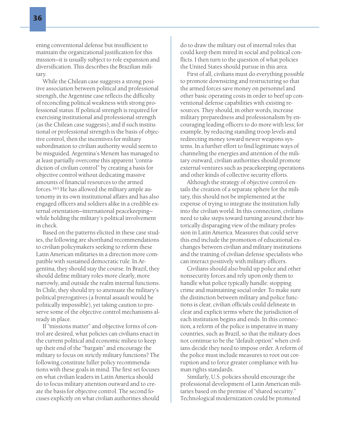ening conventional defense but insufficient to maintain the organizational justification for this mission—it is usually subject to role expansion and diversification. This describes the Brazilian military.

While the Chilean case suggests a strong positive association between political and professional strength, the Argentine case reflects the difficulty of reconciling political weakness with strong professional status. If political strength is required for exercising institutional and professional strength (as the Chilean case suggests), and if such institutional or professional strength is the basis of objective control, then the incentives for military subordination to civilian authority would seem to be misguided. Argentina's Menem has managed to at least partially overcome this apparent "contradiction of civilian control" by creating a basis for objective control without dedicating massive amounts of financial resources to the armed forces.<sup>163</sup> He has allowed the military ample autonomy in its own institutional affairs and has also engaged officers and soldiers alike in a credible external orientation—international peacekeeping while holding the military's political involvement in check.

Based on the patterns elicited in these case studies, the following are shorthand recommendations to civilian policymakers seeking to reform these Latin American militaries in a direction more compatible with sustained democratic rule. In Argentina, they should stay the course. In Brazil, they should define military roles more clearly, more narrowly, and outside the realm internal functions. In Chile, they should try to attenuate the military's political prerogatives (a frontal assault would be politically impossible), yet taking caution to preserve some of the objective control mechanisms already in place.

If "missions matter" and objective forms of control are desired, what policies can civilians enact in the current political and economic milieu to keep up their end of the "bargain" and encourage the military to focus on strictly military functions? The following constitute fuller policy recommendations with these goals in mind. The first set focuses on what civilian leaders in Latin America should do to focus military attention outward and to create the basis for objective control. The second focuses explicitly on what civilian authorities should

do to draw the military out of internal roles that could keep them mired in social and political conflicts. I then turn to the question of what policies the United States should pursue in this area.

First of all, civilians must do everything possible to promote downsizing and restructuring so that the armed forces save money on personnel and other basic operating costs in order to beef up conventional defense capabilities with existing resources. They should, in other words, increase military preparedness and professionalism by encouraging leading officers to do more with less; for example, by reducing standing troop levels and redirecting money toward newer weapons systems. In a further effort to find legitimate ways of channeling the energies and attention of the military outward, civilian authorities should promote external ventures such as peacekeeping operations and other kinds of collective security efforts.

Although the strategy of objective control entails the creation of a separate sphere for the military, this should not be implemented at the expense of trying to integrate the institution fully into the civilian world. In this connection, civilians need to take steps toward turning around their historically disparaging view of the military profession in Latin America. Measures that could serve this end include the promotion of educational exchanges between civilian and military institutions and the training of civilian defense specialists who can interact positively with military officers.

Civilians should also build up police and other nonsecurity forces and rely upon only them to handle what police typically handle: stopping crime and maintaining social order. To make sure the distinction between military and police functions is clear, civilian officials could delineate in clear and explicit terms where the jurisdiction of each institution begins and ends. In this connection, a reform of the police is imperative in many countries, such as Brazil, so that the military does not continue to be the "default option" when civilians decide they need to impose order. A reform of the police must include measures to root out corruption and to force greater compliance with human rights standards.

Similarly, U.S. policies should encourage the professional development of Latin American militaries based on the premise of "shared security." Technological modernization could be promoted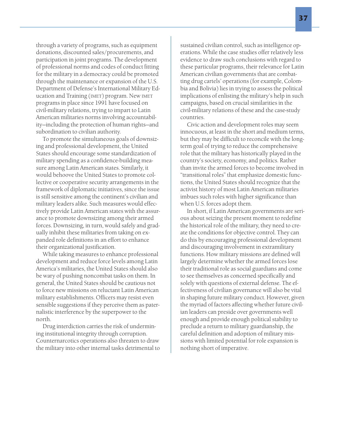through a variety of programs, such as equipment donations, discounted sales/procurements, and participation in joint programs. The development of professional norms and codes of conduct fitting for the military in a democracy could be promoted through the maintenance or expansion of the U.S. Department of Defense's International Military Education and Training (IMET) program. New IMET programs in place since 1991 have focused on civil-military relations, trying to impart to Latin American militaries norms involving accountability—including the protection of human rights—and subordination to civilian authority.

To promote the simultaneous goals of downsizing and professional development, the United States should encourage some standardization of military spending as a confidence-building measure among Latin American states. Similarly, it would behoove the United States to promote collective or cooperative security arrangements in the framework of diplomatic initiatives, since the issue is still sensitive among the continent's civilian and military leaders alike. Such measures would effectively provide Latin American states with the assurance to promote downsizing among their armed forces. Downsizing, in turn, would safely and gradually inhibit these militaries from taking on expanded role definitions in an effort to enhance their organizational justification.

While taking measures to enhance professional development and reduce force levels among Latin America's militaries, the United States should also be wary of pushing noncombat tasks on them. In general, the United States should be cautious not to force new missions on reluctant Latin American military establishments. Officers may resist even sensible suggestions if they perceive them as paternalistic interference by the superpower to the north.

Drug interdiction carries the risk of undermining institutional integrity through corruption. Counternarcotics operations also threaten to draw the military into other internal tasks detrimental to

sustained civilian control, such as intelligence operations. While the case studies offer relatively less evidence to draw such conclusions with regard to these particular programs, their relevance for Latin American civilian governments that are combatting drug cartels' operations (for example, Colombia and Bolivia) lies in trying to assess the political implications of enlisting the military's help in such campaigns, based on crucial similarities in the civil-military relations of these and the case-study countries.

Civic action and development roles may seem innocuous, at least in the short and medium terms, but they may be difficult to reconcile with the longterm goal of trying to reduce the comprehensive role that the military has historically played in the country's society, economy, and politics. Rather than invite the armed forces to become involved in "transitional roles" that emphasize domestic functions, the United States should recognize that the activist history of most Latin American militaries imbues such roles with higher significance than when U.S. forces adopt them.

In short, if Latin American governments are serious about seizing the present moment to redefine the historical role of the military, they need to create the conditions for objective control. They can do this by encouraging professional development and discouraging involvement in extramilitary functions. How military missions are defined will largely determine whether the armed forces lose their traditional role as social guardians and come to see themselves as concerned specifically and solely with questions of external defense. The effectiveness of civilian governance will also be vital in shaping future military conduct. However, given the myriad of factors affecting whether future civilian leaders can preside over governments well enough and provide enough political stability to preclude a return to military guardianship, the careful definition and adoption of military missions with limited potential for role expansion is nothing short of imperative.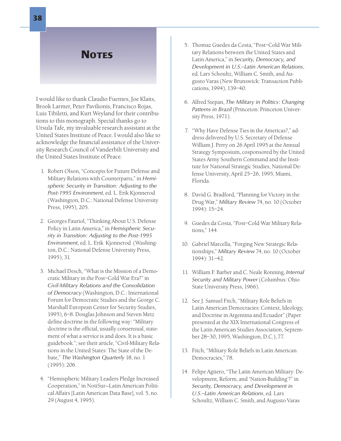# **NOTES**

I would like to thank Claudio Fuentes, Joe Klaits, Brook Larmer, Peter Pavilionis, Francisco Rojas, Luis Tibiletti, and Kurt Weyland for their contributions to this monograph. Special thanks go to Ursula Tafe, my invaluable research assistant at the United States Institute of Peace. I would also like to acknowledge the financial assistance of the University Research Council of Vanderbilt University and the United States Institute of Peace.

- 1. Robert Olson, "Concepts for Future Defense and Military Relations with Counterparts," in *Hemispheric Security in Transition: Adjusting to the Post-1995 Environment*, ed. L. Erik Kjonnerod (Washington, D.C.: National Defense University Press, 1995), 205.
- 2. Georges Fauriol, "Thinking About U.S. Defense Policy in Latin America," in *Hemispheric Security in Transition: Adjusting to the Post-1995 Environment*, ed. L. Erik Kjonnerod (Washington, D.C.: National Defense University Press, 1995), 31.
- 3. Michael Desch, "What is the Mission of a Democratic Military in the Post–Cold War Era?" in *Civil-Military Relations and the Consolidation of Democracy* (Washington, D.C.: International Forum for Democratic Studies and the George C. Marshall European Center for Security Studies, 1995), 6–8. Douglas Johnson and Steven Metz define doctrine in the following way: "Military doctrine is the official, usually consensual, statement of what a service is and does. It is a basic guidebook."; see their article, "Civil-Military Relations in the United States: The State of the Debate," *The Washington Quarterly* 18, no. 1 (1995): 206.
- 4. "Hemispheric Military Leaders Pledge Increased Cooperation," in NotiSur—Latin American Political Affairs [Latin American Data Base], vol. 5, no. 29 (August 4, 1995).
- 5. Thomaz Guedes da Costa, "Post–Cold War Military Relations between the United States and Latin America," in *Security, Democracy, and Development in U.S.–Latin American Relations*, ed. Lars Schoultz, William C. Smith, and Augusto Varas (New Brunswick: Transaction Publications, 1994), 139–40.
- 6. Alfred Stepan, *The Military in Politics: Changing Patterns in Brazil* (Princeton: Princeton University Press, 1971).
- 7. "Why Have Defense Ties in the Americas?," address delivered by U.S. Secretary of Defense William J. Perry on 26 April 1995 at the Annual Strategy Symposium, cosponsored by the United States Army Southern Command and the Institute for National Strategic Studies, National Defense University, April 25–26, 1995, Miami, Florida.
- 8. David G. Bradford, "Planning for Victory in the Drug War," *Military Review* 74, no. 10 (October 1994): 15–24.
- 9. Guedes da Costa, "Post–Cold War Military Relations," 144.
- 10. Gabriel Marcella, "Forging New Strategic Relationships," *Military Review* 74, no. 10 (October 1994): 31–42.
- 11. William F. Barber and C. Neale Ronning, *Internal Security and Military Power* (Columbus: Ohio State University Press, 1966).
- 12. See J. Samuel Fitch, "Military Role Beliefs in Latin American Democracies: Context, Ideology, and Doctrine in Argentina and Ecuador" (Paper presented at the XIX International Congress of the Latin American Studies Association, September 28–30, 1995, Washington, D.C.), 77.
- 13. Fitch, "Military Role Beliefs in Latin American Democracies," 78.
- 14. Felipe Agüero, "The Latin American Military: Development, Reform, and 'Nation-Building'?" in *Security, Democracy, and Development in U.S.–Latin American Relations*, ed. Lars Schoultz, William C. Smith, and Augusto Varas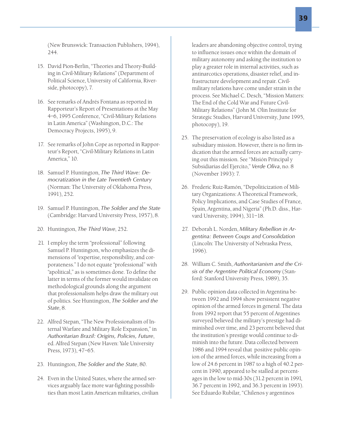(New Brunswick: Transaction Publishers, 1994), 244.

- 15. David Pion-Berlin, "Theories and Theory-Building in Civil-Military Relations" (Department of Political Science, University of California, Riverside, photocopy), 7.
- 16. See remarks of Andrés Fontana as reported in Rapporteur's Report of Presentations at the May 4–6, 1995 Conference, "Civil-Military Relations in Latin America" (Washington, D.C.: The Democracy Projects, 1995), 9.
- 17. See remarks of John Cope as reported in Rapporteur's Report, "Civil-Military Relations in Latin America," 10.
- 18. Samuel P. Huntington, *The Third Wave: Democratization in the Late Twentieth Century* (Norman: The University of Oklahoma Press, 1991), 252.
- 19. Samuel P. Huntington, *The Soldier and the State* (Cambridge: Harvard University Press, 1957), 8.
- 20. Huntington, *The Third Wave*, 252.
- 21. I employ the term "professional" following Samuel P. Huntington, who emphasizes the dimensions of "expertise, responsibility, and corporateness." I do not equate "professional" with "apolitical," as is sometimes done. To define the latter in terms of the former would invalidate on methodological grounds along the argument that professionalism helps draw the military out of politics. See Huntington, *The Soldier and the State*, 8.
- 22. Alfred Stepan, "The New Professionalism of Internal Warfare and Military Role Expansion," in *Authoritarian Brazil: Origins, Policies, Future*, ed. Alfred Stepan (New Haven: Yale University Press, 1973), 47–65.
- 23. Huntington, *The Soldier and the State*, 80.
- 24. Even in the United States, where the armed services arguably face more war-fighting possibilities than most Latin American militaries, civilian

leaders are abandoning objective control, trying to influence issues once within the domain of military autonomy and asking the institution to play a greater role in internal activities, such as antinarcotics operations, disaster relief, and infrastructure development and repair. Civilmilitary relations have come under strain in the process. See Michael C. Desch, "Mission Matters: The End of the Cold War and Future Civil-Military Relations" (John M. Olin Institute for Strategic Studies, Harvard University, June 1995, photocopy), 19.

- 25. The preservation of ecology is also listed as a subsidiary mission. However, there is no firm indication that the armed forces are actually carrying out this mission. See "Misión Principal y Subsidiarias del Ejercito," *Verde Oliva*, no. 8 (November 1993): 7.
- 26. Frederic Ruiz-Ramón, "Depoliticization of Military Organizations: A Theoretical Framework, Policy Implications, and Case Studies of France, Spain, Argentina, and Nigeria" (Ph.D. diss., Harvard University, 1994), 311–18.
- 27. Deborah L. Norden, *Military Rebellion in Argentina: Between Coups and Consolidation* (Lincoln: The University of Nebraska Press, 1996).
- 28. William C. Smith, *Authoritarianism and the Crisis of the Argentine Political Economy* (Stanford: Stanford University Press, 1989), 35.
- 29. Public opinion data collected in Argentina between 1992 and 1994 show persistent negative opinion of the armed forces in general. The data from 1992 report that 55 percent of Argentines surveyed believed the military's prestige had diminished over time, and 23 percent believed that the institution's prestige would continue to diminish into the future. Data collected between 1986 and 1994 reveal that positive public opinion of the armed forces, while increasing from a low of 24.6 percent in 1987 to a high of 40.2 percent in 1990, appeared to be stalled at percentages in the low to mid-30s (31.2 percent in 1991, 36.7 percent in 1992, and 36.3 percent in 1993). See Eduardo Rubilar, "Chilenos y argentinos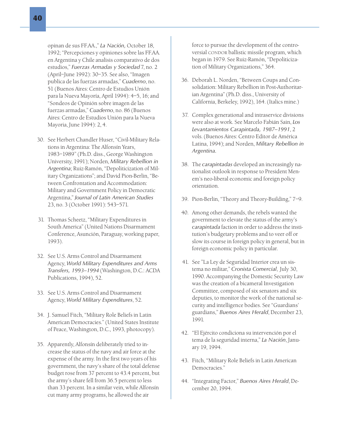opinan de sus FF.AA.," *La Nación,* October 18, 1992; "Percepciones y opiniones sobre las FF.AA. en Argentina y Chile analisis comparativo de dos estudios," *Fuerzas Armadas y Sociedad* 7, no. 2 (April–June 1992): 30–35. See also, "Imagen publica de las fuerzas armadas," *Cuaderno*, no. 51 (Buenos Aires: Centro de Estudios Unión para la Nueva Mayoría, April 1994): 4–5, 16; and "Sondeos de Opinión sobre imagen de las fuerzas armadas," *Cuaderno*, no. 86 (Buenos Aires: Centro de Estudios Unión para la Nueva Mayoria, June 1994): 2, 4.

- 30. See Herbert Chandler Huser, "Civil-Military Relations in Argentina: The Alfonsín Years, 1983–1989" (Ph.D. diss., George Washington University, 1991); Norden, *Military Rebellion in Argentina*; Ruiz-Ramón, "Depoliticization of Military Organizations"; and David Pion-Berlin, "Between Confrontation and Accommodation: Military and Government Policy in Democratic Argentina," *Journal of Latin American Studies* 23, no. 3 (October 1991): 543–571.
- 31. Thomas Scheetz, "Military Expenditures in South America" (United Nations Disarmament Conference, Asunción, Paraguay, working paper, 1993).
- 32. See U.S. Arms Control and Disarmament Agency, *World Military Expenditures and Arms Transfers, 1993–1994* (Washington, D.C.: ACDA Publications, 1994), 52.
- 33. See U.S. Arms Control and Disarmament Agency, *World Military Expenditures*, 52.
- 34. J. Samuel Fitch, "Military Role Beliefs in Latin American Democracies." (United States Institute of Peace, Washington, D.C., 1993, photocopy).
- 35. Apparently, Alfonsín deliberately tried to increase the status of the navy and air force at the expense of the army. In the first two years of his government, the navy's share of the total defense budget rose from 37 percent to 43.4 percent, but the army's share fell from 36.5 percent to less than 33 percent. In a similar vein, while Alfonsín cut many army programs, he allowed the air

force to pursue the development of the controversial CONDOR ballistic missile program, which began in 1979. See Ruiz-Ramón, "Depoliticization of Military Organizations," 364.

- 36. Deborah L. Norden, "Between Coups and Consolidation: Military Rebellion in Post-Authoritarian Argentina" (Ph.D. diss., University of California, Berkeley, 1992), 164. (Italics mine.)
- 37. Complex generational and intraservice divisions were also at work. See Marcelo Fabián Sain, *Los Levantamientos Carapintada, 1987–1991*, 2 vols. (Buenos Aires: Centro Editor de América Latina, 1994); and Norden, *Military Rebellion in Argentina.*
- 38. The *carapintadas* developed an increasingly nationalist outlook in response to President Menem's neo-liberal economic and foreign policy orientation.
- 39. Pion-Berlin, "Theory and Theory-Building," 7–9.
- 40. Among other demands, the rebels wanted the government to elevate the status of the army's *carapintada* faction in order to address the institution's budgetary problems and to veer off or slow its course in foreign policy in general, but in foreign economic policy in particular.
- 41. See "La Ley de Seguridad Interior crea un sistema no militar," *Cronista Comercial*, July 30, 1990. Accompanying the Domestic Security Law was the creation of a bicameral Investigation Committee, composed of six senators and six deputies, to monitor the work of the national security and intelligence bodies. See "Guardians' guardians," *Buenos Aires Herald*, December 23, 1991.
- 42. "El Ejército condiciona su intervención por el tema de la seguridad interna," *La Nación*, January 19, 1994.
- 43. Fitch, "Military Role Beliefs in Latin American Democracies."
- 44. "Integrating Factor," *Buenos Aires Herald*, December 20, 1994.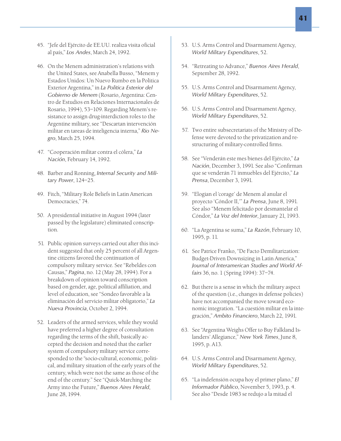- 45. "Jefe del Ejército de EE.UU. realiza visita oficial al país," *Los Andes*, March 24, 1992.
- 46. On the Menem administration's relations with the United States, see Anabella Busso, "Menem y Estados Unidos: Un Nuevo Rumbo en la Politica Exterior Argentina," in *La Politica Exterior del Gobierno de Menem* (Rosario, Argentina: Centro de Estudios en Relaciones Internacionales de Rosario, 1994), 53–109. Regarding Menem's resistance to assign drug-interdiction roles to the Argentine military, see "Descartan intervención militar en tareas de inteligencia interna," *Rio Negro*, March 25, 1994.
- 47. "Cooperación militar contra el cólera," *La Nación*, February 14, 1992.
- 48. Barber and Ronning, *Internal Security and Military Power*, 124–25.
- 49. Fitch, "Military Role Beliefs in Latin American Democracies," 74.
- 50. A presidential initiative in August 1994 (later passed by the legislature) eliminated conscription.
- 51. Public opinion surveys carried out after this incident suggested that only 25 percent of all Argentine citizens favored the continuation of compulsory military service. See "Rebeldes con Causas," *Pagina*, no. 12 (May 28, 1994). For a breakdown of opinion toward conscription based on gender, age, political affiliation, and level of education, see "Sondeo favorable a la eliminación del servicio militar obligatorio," *La Nueva Provincia*, October 2, 1994.
- 52. Leaders of the armed services, while they would have preferred a higher degree of consultation regarding the terms of the shift, basically accepted the decision and noted that the earlier system of compulsory military service corresponded to the "socio-cultural, economic, political, and military situation of the early years of the century, which were not the same as those of the end of the century." See "Quick-Marching the Army into the Future," *Buenos Aires Herald*, June 28, 1994.
- 53. U.S. Arms Control and Disarmament Agency, *World Military Expenditures*, 52.
- 54. "Retreating to Advance," *Buenos Aires Herald*, September 28, 1992.
- 55. U.S. Arms Control and Disarmament Agency, *World Military Expenditures*, 52.
- 56. U.S. Arms Control and Disarmament Agency, *World Military Expenditures*, 52.
- 57. Two entire subsecretariats of the Ministry of Defense were devoted to the privatization and restructuring of military-controlled firms.
- 58. See "Venderán este mes bienes del Ejército," *La Nación*, December 3, 1991. See also "Confirman que se venderán 71 inmuebles del Ejército," *La Prensa*, December 3, 1991.
- 59. "Elogian el 'corage' de Menem al anular el proyecto 'Cóndor II,'" *La Prensa*, June 8, 1991. See also "Menem felicitado por desmantelar el Cóndor," *La Voz del Interior*, January 21, 1993.
- 60. "La Argentina se suma," *La Razón*, February 10, 1995, p. 11.
- 61. See Patrice Franko, "De Facto Demilitarization: Budget-Driven Downsizing in Latin America," *Journal of Interamerican Studies and World Affairs* 36, no. 1 (Spring 1994): 37–74.
- 62. But there is a sense in which the military aspect of the question (i.e., changes in defense policies) have not accompanied the move toward economic integration. "La cuestión militar en la integración," *Ambito Financiero*, March 22, 1991.
- 63. See "Argentina Weighs Offer to Buy Falkland Islanders' Allegiance," *New York Times*, June 8, 1995, p. A13.
- 64. U.S. Arms Control and Disarmament Agency, *World Military Expenditures*, 52.
- 65. "La indefensión ocupa hoy el primer plano," *El Informador Público*, November 5, 1993, p. 4. See also "Desde 1983 se redujo a la mitad el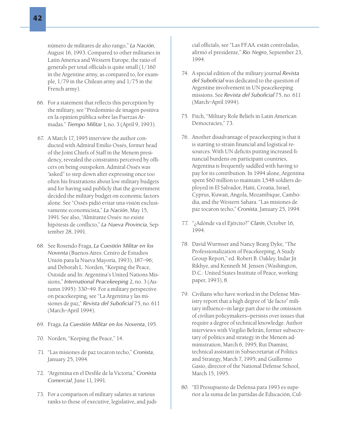número de militares de alto rango," *La Nación*, August 16, 1993. Compared to other militaries in Latin America and Western Europe, the ratio of generals per total officials is quite small (1/160 in the Argentine army, as compared to, for example, 1/79 in the Chilean army and 1/75 in the French army).

- 66. For a statement that reflects this perception by the military, see "Predominio de imagen positiva en la opiníon pública sobre las Fuerzas Armadas." *Tiempo Militar* 1, no. 3 (April 9, 1993).
- 67. A March 17, 1995 interview the author conducted with Admiral Emilio Ossés, former head of the Joint Chiefs of Staff in the Menem presidency, revealed the constraints perceived by officers on being outspoken. Admiral Ossés was "asked" to step down after expressing once too often his frustrations about low military budgets and for having said publicly that the government decided the military budget on economic factors alone. See "Ossés pidió evitar una visión exclusivamente economicista," *La Nación*, May 15, 1991. See also, "Almirante Ossés: no existe hipótesis de conflicto," *La Nueva Provincia*, September 28, 1991.
- 68. See Rosendo Fraga, *La Cuestión Militar en los Noventa* (Buenos Aires: Centro de Estudios Unión para la Nueva Mayoría, 1993), 187–96; and Deborah L. Norden, "Keeping the Peace, Outside and In: Argentina's United Nations Missions," *International Peacekeeping* 2, no. 3 (Autumn 1995): 330–49. For a military perspective on peacekeeping, see "La Argentina y las misiones de paz," *Revista del Suboficial* 75, no. 611 (March–April 1994).
- 69. Fraga, *La Cuestión Militar en los Noventa*, 195.
- 70. Norden, "Keeping the Peace," 14.
- 71. "Las misiones de paz tocaron techo," *Cronista*, January 25, 1994.
- 72. "Argentina en el Desfile de la Victoria," *Cronista Comercial*, June 11, 1991.
- 73. For a comparison of military salaries at various ranks to those of executive, legislative, and judi-

cial officials, see "Las FF.AA. están controladas, afirmó el presidente," *Rio Negro*, September 23, 1994.

- 74. A special edition of the military journal *Revista del Suboficial* was dedicated to the question of Argentine involvement in UN peacekeeping missions. See *Revista del Suboficial* 75, no. 611 (March–April 1994).
- 75. Fitch, "Military Role Beliefs in Latin American Democracies," 73.
- 76. Another disadvantage of peacekeeping is that it is starting to strain financial and logistical resources. With UN deficits putting increased financial burdens on participant countries, Argentina is frequently saddled with having to pay for its contribution. In 1994 alone, Argentina spent \$60 million to maintain 1,548 soldiers deployed in El Salvador, Haiti, Croatia, Israel, Cyprus, Kuwait, Angola, Mozambique, Cambodia, and the Western Sahara. "Las misiones de paz tocaron techo," *Cronista*, January 25, 1994.
- 77. "¿Adónde va el Ejército?" *Clarín*, October 16, 1994.
- 78. David Wurmser and Nancy Bearg Dyke, "The Professionalization of Peacekeeping, A Study Group Report," ed. Robert B. Oakley, Indar Jit Rikhye, and Kenneth M. Jensen (Washington, D.C.: United States Institute of Peace, working paper, 1993), 8.
- 79. Civilians who have worked in the Defense Ministry report that a high degree of "de facto" military influence—in large part due to the omission of civilian policymakers—persists over issues that require a degree of technical knowledge. Author interviews with Virgilio Beltrán, former subsecretary of politics and strategy in the Menem administration, March 6, 1995; Rut Diamint, technical assistant in Subsecretariat of Politics and Strategy, March 7, 1995; and Guillermo Gasio, director of the National Defense School, March 15, 1995.
- 80. "El Presupuesto de Defensa para 1993 es superior a la suma de las partidas de Educación, Cul-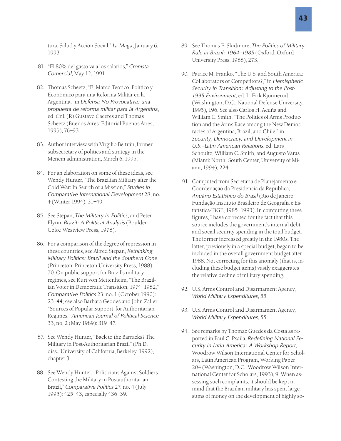tura, Salud y Acción Social," *La Maga*, January 6, 1993.

- 81. "El 80% del gasto va a los salarios," *Cronista Comercial*, May 12, 1991.
- 82. Thomas Scheetz, "El Marco Teórico, Político y Económico para una Reforma Militar en la Argentina," in *Defensa No Provocativa: una propuesta de reforma militar para la Argentina*, ed. Cnl. (R) Gustavo Caceres and Thomas Scheetz (Buenos Aires: Editorial Buenos Aires, 1995), 76–93.
- 83. Author interview with Virgilio Beltrán, former subsecretary of politics and strategy in the Menem administration, March 6, 1995.
- 84. For an elaboration on some of these ideas, see Wendy Hunter, "The Brazilian Military after the Cold War: In Search of a Mission," *Studies in Comparative International Development* 28, no. 4 (Winter 1994): 31–49.
- 85. See Stepan, *The Military in Politics*; and Peter Flynn, *Brazil: A Political Analysis* (Boulder Colo.: Westview Press, 1978).
- 86. For a comparison of the degree of repression in these countries, see Alfred Stepan, *Rethinking Military Politics: Brazil and the Southern Cone* (Princeton: Princeton University Press, 1988), 70. On public support for Brazil's military regimes, see Kurt von Mettenheim, "The Brazilian Voter in Democratic Transition, 1974–1982," *Comparative Politics* 23, no. 1 (October 1990): 23–44; see also Barbara Geddes and John Zaller, "Sources of Popular Support for Authoritarian Regimes," *American Journal of Political Science* 33, no. 2 (May 1989): 319–47.
- 87. See Wendy Hunter, "Back to the Barracks? The Military in Post-Authoritarian Brazil" (Ph.D. diss., University of California, Berkeley, 1992), chapter 3.
- 88. See Wendy Hunter, "Politicians Against Soldiers: Contesting the Military in Postauthoritarian Brazil," *Comparative Politics* 27, no. 4 (July 1995): 425–43, especially 436–39.
- 89. See Thomas E. Skidmore, *The Politics of Military Rule in Brazil: 1964–1985* (Oxford: Oxford University Press, 1988), 273.
- 90. Patrice M. Franko, "The U.S. and South America: Collaborators or Competitors?," in *Hemispheric Security in Transition: Adjusting to the Post-1995 Environment*, ed. L. Erik Kjonnerod (Washington, D.C.: National Defense University, 1995), 196. See also Carlos H. Acuña and William C. Smith, "The Politics of Arms Production and the Arms Race among the New Democracies of Argentina, Brazil, and Chile," in *Security, Democracy, and Development in U.S.–Latin American Relations*, ed. Lars Schoultz, William C. Smith, and Augusto Varas (Miami: North–South Center, University of Miami, 1994), 224.
- 91. Computed from Secretaria de Planejamento e Coordenação da Presidência da República, *Anuário Estatístico do Brasil* (Rio de Janeiro: Fundação Instituto Brasileiro de Geografia e Estatística-IBGE, 1985–1993). In computing these figures, I have corrected for the fact that this source includes the government's internal debt and social security spending in the total budget. The former increased greatly in the 1980s. The latter, previously in a special budget, began to be included in the overall government budget after 1988. Not correcting for this anomaly (that is, including these budget items) vastly exaggerates the relative decline of military spending.
- 92. U.S. Arms Control and Disarmament Agency, *World Military Expenditures*, 55.
- 93. U.S. Arms Control and Disarmament Agency, *World Military Expenditures*, 55.
- 94. See remarks by Thomaz Guedes da Costa as reported in Paul C. Psaila, *Redefining National Security in Latin America: A Workshop Report*, Woodrow Wilson International Center for Scholars, Latin American Program, Working Paper 204 (Washington, D.C.: Woodrow Wilson International Center for Scholars, 1993), 9. When assessing such complaints, it should be kept in mind that the Brazilian military has spent large sums of money on the development of highly so-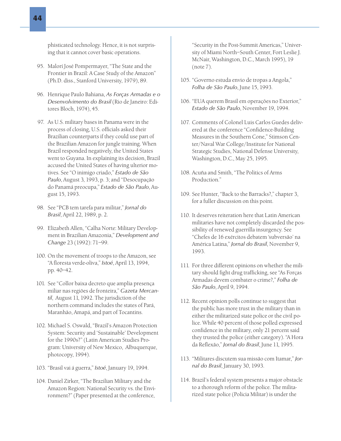phisticated technology. Hence, it is not surprising that it cannot cover basic operations.

- 95. Malorí José Pompermayer, "The State and the Frontier in Brazil: A Case Study of the Amazon" (Ph.D. diss., Stanford University, 1979), 89.
- 96. Henrique Paulo Bahiana, *As Forças Armadas e o Desenvolvimento do Brasil* (Rio de Janeiro: Editores Bloch, 1974), 45.
- 97. As U.S. military bases in Panama were in the process of closing, U.S. officials asked their Brazilian counterparts if they could use part of the Brazilian Amazon for jungle training. When Brazil responded negatively, the United States went to Guyana. In explaining its decision, Brazil accused the United States of having ulterior motives. See "O inimigo criado," *Estado de São Paulo*, August 3, 1993, p. 3; and "Desocupação do Panamá preocupa," *Estado de São Paulo*, August 15, 1993.
- 98. See "PCB tem tarefa para militar," *Jornal do Brasil*, April 22, 1989, p. 2.
- 99. Elizabeth Allen, "Calha Norte: Military Development in Brazilian Amazonia," *Development and Change* 23 (1992): 71–99.
- 100. On the movement of troops to the Amazon, see "A floresta verde-oliva," *Istoé*, April 13, 1994, pp. 40–42.
- 101. See "Collor baixa decreto que amplia presença miliar nas regiões de fronteira," *Gazeta Mercantil*, August 11, 1992. The jurisdiction of the northern command includes the states of Pará, Maranhão, Amapá, and part of Tocantins.
- 102. Michael S. Oswald, "Brazil's Amazon Protection System: Security and 'Sustainable' Development for the 1990s?" (Latin American Studies Program: University of New Mexico, Albuquerque, photocopy, 1994).
- 103. "Brasil vai á guerra," *Istoé*, January 19, 1994.
- 104. Daniel Zirker, "The Brazilian Military and the Amazon Region: National Security vs. the Environment?" (Paper presented at the conference,

"Security in the Post-Summit Americas," University of Miami North–South Center, Fort Leslie J. McNair, Washington, D.C., March 1995), 19 (note 7).

- 105. "Governo estuda envio de tropas a Angola," *Folha de São Paulo*, June 15, 1993.
- 106. "EUA querem Brasil em operações no Exterior," *Estado de São Paulo*, November 19, 1994.
- 107. Comments of Colonel Luis Carlos Guedes delivered at the conference "Confidence-Building Measures in the Southern Cone," Stimson Center/Naval War College/Institute for National Strategic Studies, National Defense University, Washington, D.C., May 25, 1995.
- 108. Acuña and Smith, "The Politics of Arms Production<sup>"</sup>
- 109. See Hunter, "Back to the Barracks?," chapter 3, for a fuller discussion on this point.
- 110. It deserves reiteration here that Latin American militaries have not completely discarded the possibility of renewed guerrilla insurgency. See "Chefes de 16 exércitos debatem 'subversão' na América Latina," *Jornal do Brasil*, November 9, 1993.
- 111. For three different opinions on whether the military should fight drug trafficking, see "As Forças Armadas devem combater o crime?," *Folha de São Paulo*, April 9, 1994.
- 112. Recent opinion polls continue to suggest that the public has more trust in the military than in either the militarized state police or the civil police. While 40 percent of those polled expressed confidence in the military, only 21 percent said they trusted the police (either category). "A Hora da Reflexão," *Jornal do Brasil*, June 11, 1995.
- 113. "Militares discutem sua missão com Itamar," *Jornal do Brasil*, January 30, 1993.
- 114. Brazil's federal system presents a major obstacle to a thorough reform of the police. The militarized state police (Policia Militar) is under the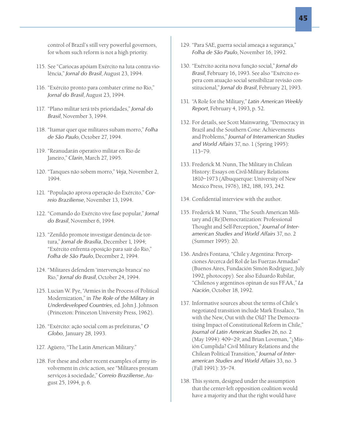115. See "Cariocas apóiam Exército na luta contra violência," *Jornal do Brasil*, August 23, 1994.

for whom such reform is not a high priority.

- 116. "Exército pronto para combater crime no Rio," *Jornal do Brasil*, August 23, 1994.
- 117. "Plano militar terá três prioridades," *Jornal do Brasil*, November 3, 1994.
- 118. "Itamar quer que militares subam morro," *Folha de São Paulo*, October 27, 1994.
- 119. "Reanudarán operativo militar en Rio de Janeiro," *Clarin*, March 27, 1995.
- 120. "Tanques não sobem morro," *Veja*, November 2, 1994.
- 121. "População aprova operação do Exército," *Correio Braziliense*, November 13, 1994.
- 122. "Comando do Exército vive fase popular," *Jornal do Brasil*, November 6, 1994.
- 123. "Zenildo promote investigar denúncia de tortura," *Jornal de Brasília*, December 1, 1994; "Exército enfrenta oposição para sair do Rio," *Folha de São Paulo*, December 2, 1994.
- 124. "Militares defendem 'intervenção branca' no Rio," *Jornal do Brasil*, October 24, 1994.
- 125. Lucian W. Pye, "Armies in the Process of Political Modernization," in *The Role of the Military in Underdeveloped Countries*, ed. John J. Johnson (Princeton: Princeton University Press, 1962).
- 126. "Exército: ação social com as prefeituras," *O Globo*, January 28, 1993.
- 127. Agüero, "The Latin American Military."
- 128. For these and other recent examples of army involvement in civic action, see "Militares prestam serviços à sociedade," *Correio Braziliense*, August 25, 1994, p. 6.
- 129. "Para SAE, guerra social ameaça a segurança," *Folha de São Paulo*, November 16, 1992.
- 130. "Exército aceita nova função social," *Jornal do Brasil*, February 16, 1993. See also "Exército espera com atuação social sensibilizar revisão constitucional," *Jornal do Brasil*, February 21, 1993.
- 131. "A Role for the Military," *Latin American Weekly Report*, February 4, 1993, p. 52.
- 132. For details, see Scott Mainwaring, "Democracy in Brazil and the Southern Cone: Achievements and Problems," *Journal of Interamerican Studies and World Affairs* 37, no. 1 (Spring 1995): 113–79.
- 133. Frederick M. Nunn, The Military in Chilean History: Essays on Civil-Military Relations 1810–1973 (Albuquerque: University of New Mexico Press, 1976), 182, 188, 193, 242.
- 134. Confidential interview with the author.
- 135. Frederick M. Nunn, "The South American Military and (Re)Democratization: Professional Thought and Self-Perception," *Journal of Interamerican Studies and World Affairs* 37, no. 2 (Summer 1995): 20.
- 136. Andrés Fontana, "Chile y Argentina: Percepciones Arcerca del Rol de las Fuerzas Armadas" (Buenos Aires, Fundación Simón Rodríguez, July 1992, photocopy). See also Eduardo Rubilar, "Chilenos y argentinos opinan de sus FF.AA.," *La Nación*, October 18, 1992.
- 137. Informative sources about the terms of Chile's negotiated transition include Mark Ensalaco, "In with the New, Out with the Old? The Democratising Impact of Constitutional Reform in Chile," *Journal of Latin American Studies* 26, no. 2 (May 1994): 409–29; and Brian Loveman, "¿Misión Cumplida? Civil Military Relations and the Chilean Political Transition," *Journal of Interamerican Studies and World Affairs* 33, no. 3 (Fall 1991): 35–74.
- 138. This system, designed under the assumption that the center-left opposition coalition would have a majority and that the right would have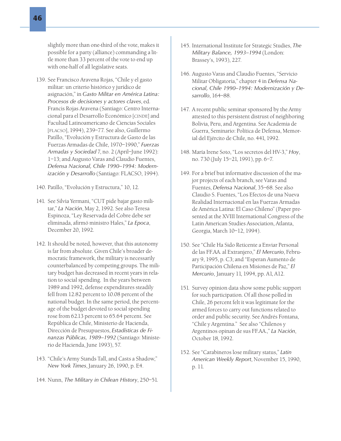slightly more than one-third of the vote, makes it possible for a party (alliance) commanding a little more than 33 percent of the vote to end up with one-half of all legislative seats.

- 139. See Francisco Aravena Rojas, "Chile y el gasto militar: un criterio histórico y jurídico de asignación," in *Gasto Militar en América Latina: Procesos de decisiones y actores claves*, ed. Francis Rojas Aravena (Santiago: Centro Internacional para el Desarrollo Económico [CINDE] and Facultad Latinoamericano de Ciencias Sociales [FLACSO], 1994), 239–77. See also, Guillermo Patillo, "Evolución y Estructura de Gasto de las Fuerzas Armadas de Chile, 1970–1990," *Fuerzas Armadas y Sociedad* 7, no. 2 (April–June 1992): 1–13; and Augusto Varas and Claudio Fuentes, *Defensa Nacional, Chile 1990–1994: Modernización y Desarrollo* (Santiago: FLACSO, 1994).
- 140. Patillo, "Evolución y Estructura," 10, 12.
- 141. See Silvia Yermani, "CUT pide bajar gasto militar," *La Nación*, May 2, 1992. See also Teresa Espinoza, "Ley Reservada del Cobre debe ser eliminada, afirmó ministro Hales," *La Epoca*, December 20, 1992.
- 142. It should be noted, however, that this autonomy is far from absolute. Given Chile's broader democratic framework, the military is necessarily counterbalanced by competing groups. The military budget has decreased in recent years in relation to social spending. In the years between 1989 and 1992, defense expenditures steadily fell from 12.82 percent to 10.08 percent of the national budget. In the same period, the percentage of the budget devoted to social spending rose from 62.13 percent to 65.64 percent. See República de Chile, Ministerio de Hacienda, Dirección de Presupuestos, *Estadísticas de Finanzas Públicas, 1989–1992* (Santiago: Ministerio de Hacienda, June 1993), 57.
- 143. "Chile's Army Stands Tall, and Casts a Shadow," *New York Times*, January 26, 1990, p. E4.
- 144. Nunn, *The Military in Chilean History*, 250–51.
- 145. International Institute for Strategic Studies, *The Military Balance, 1993–1994* (London: Brassey's, 1993), 227.
- 146. Augusto Varas and Claudio Fuentes, "Servicio Militar Obligatoria," chapter 4 in *Defensa Nacional, Chile 1990–1994: Modernización y Desarrollo*, 164–88.
- 147. A recent public seminar sponsored by the Army attested to this persistent distrust of neighboring Bolivia, Peru, and Argentina. See Academia de Guerra, Seminario: Política de Defensa, Memorial del Ejército de Chile, no. 441, 1992.
- 148. María Irene Soto, "Los secretos del HV-3," *Hoy*, no. 730 (July 15–21, 1991), pp. 6–7.
- 149. For a brief but informative discussion of the major projects of each branch, see Varas and Fuentes, *Defensa Nacional*, 35–68. See also Claudio S. Fuentes, "Los Efectos de una Nueva Realidad Internacional en las Fuerzas Armadas de América Latina: El Caso Chileno" (Paper presented at the XVIII International Congress of the Latin American Studies Association, Atlanta, Georgia, March 10–12, 1994).
- 150. See "Chile Ha Sido Reticente a Enviar Personal de las FF.AA. al Extranjero," *El Mercurio*, February 9, 1995, p. C3; and "Esperan Aumento de Participación Chilena en Misiones de Paz," *El Mercurio*, January 11, 1994, pp. A1, A12.
- 151. Survey opinion data show some public support for such participation. Of all those polled in Chile, 26 percent felt it was legitimate for the armed forces to carry out functions related to order and public security. See Andrés Fontana, "Chile y Argentina." See also "Chilenos y Argentinos opinan de sus FF.AA.," *La Nación*, October 18, 1992.
- 152. See "Carabineros lose military status," *Latin American Weekly Report*, November 15, 1990, p. 11.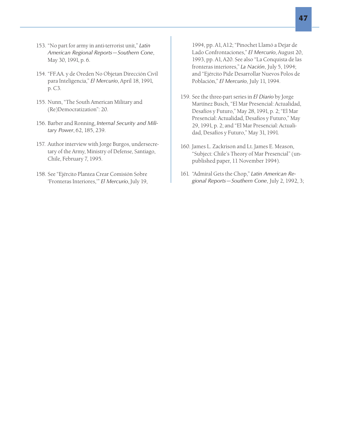47

- 153. "No part for army in anti-terrorist unit," *Latin American Regional Reports—Southern Cone*, May 30, 1991, p. 6.
- 154. "FF.AA. y de Oreden No Objetan Dirección Civil para Inteligencia," *El Mercurio*, April 18, 1991, p. C3.
- 155. Nunn, "The South American Military and (Re)Democratization": 20.
- 156. Barber and Ronning, *Internal Security and Military Power*, 62, 185, 239.
- 157. Author interview with Jorge Burgos, undersecretary of the Army, Ministry of Defense, Santiago, Chile, February 7, 1995.
- 158. See "Ejército Plantea Crear Comisión Sobre 'Fronteras Interiores,'" *El Mercurio*, July 19,

1994, pp. A1, A12; "Pinochet Llamó a Dejar de Lado Confrontaciones," *El Mercurio*, August 20, 1993, pp. A1, A20. See also "La Conquista de las fronteras interiores," *La Nación*, July 5, 1994; and "Ejército Pide Desarrollar Nuevos Polos de Población," *El Mercurio*, July 11, 1994.

- 159. See the three-part series in *El Diario* by Jorge Martínez Busch, "El Mar Presencial: Actualidad, Desafíos y Futuro," May 28, 1991, p. 2; "El Mar Presencial: Actualidad, Desafíos y Futuro," May 29, 1991, p. 2; and "El Mar Presencial: Actualidad, Desafíos y Futuro," May 31, 1991.
- 160. James L. Zackrison and Lt. James E. Meason, "Subject: Chile's Theory of Mar Presencial" (unpublished paper, 11 November 1994).
- 161. "Admiral Gets the Chop," *Latin American Regional Reports—Southern Cone*, July 2, 1992, 3;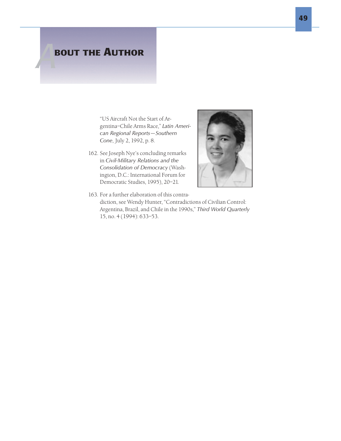# **BOUT THE AUTHOR**

"US Aircraft Not the Start of Argentina–Chile Arms Race," *Latin American Regional Reports—Southern Cone*, July 2, 1992, p. 8.

162. See Joseph Nye's concluding remarks in *Civil-Military Relations and the Consolidation of Democracy* (Washington, D.C.: International Forum for Democratic Studies, 1995), 20–21.



163. For a further elaboration of this contradiction, see Wendy Hunter, "Contradictions of Civilian Control: Argentina, Brazil, and Chile in the 1990s," *Third World Quarterly* 15, no. 4 (1994): 633–53.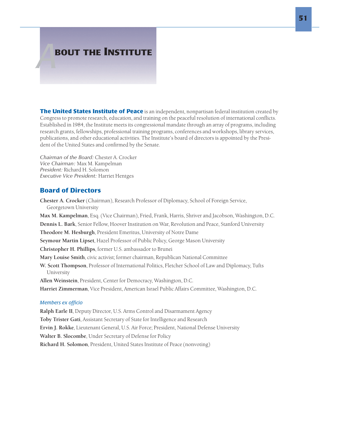# **BOUT THE INSTITUTE**

**The United States Institute of Peace** is an independent, nonpartisan federal institution created by Congress to promote research, education, and training on the peaceful resolution of international conflicts. Established in 1984, the Institute meets its congressional mandate through an array of programs, including research grants, fellowships, professional training programs, conferences and workshops, library services, publications, and other educational activities. The Institute's board of directors is appointed by the President of the United States and confirmed by the Senate.

*Chairman of the Board:* Chester A. Crocker *Vice Chairman:* Max M. Kampelman *President:* Richard H. Solomon *Executive Vice President:* Harriet Hentges

## Board of Directors

Chester A. Crocker (Chairman), Research Professor of Diplomacy, School of Foreign Service, Georgetown University Max M. Kampelman, Esq. (Vice Chairman), Fried, Frank, Harris, Shriver and Jacobson, Washington, D.C. Dennis L. Bark, Senior Fellow, Hoover Institution on War, Revolution and Peace, Stanford University Theodore M. Hesburgh, President Emeritus, University of Notre Dame Seymour Martin Lipset, Hazel Professor of Public Policy, George Mason University Christopher H. Phillips, former U.S. ambassador to Brunei Mary Louise Smith, civic activist; former chairman, Republican National Committee W. Scott Thompson, Professor of International Politics, Fletcher School of Law and Diplomacy, Tufts University Allen Weinstein, President, Center for Democracy, Washington, D.C. Harriet Zimmerman, Vice President, American Israel Public Affairs Committee, Washington, D.C. *Members ex officio* Ralph Earle II, Deputy Director, U.S. Arms Control and Disarmament Agency Toby Trister Gati, Assistant Secretary of State for Intelligence and Research Ervin J. Rokke, Lieutenant General, U.S. Air Force; President, National Defense University

Walter B. Slocombe, Under Secretary of Defense for Policy

Richard H. Solomon, President, United States Institute of Peace (nonvoting)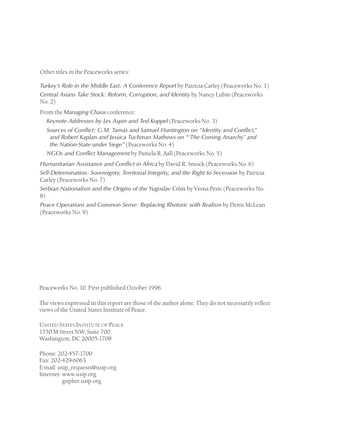Other titles in the Peaceworks series:

*Turkey's Role in the Middle East: A Conference Report* by Patricia Carley (Peaceworks No. 1) *Central Asians Take Stock: Reform, Corruption, and Identity* by Nancy Lubin (Peaceworks No. 2)

From the *Managing Chaos* conference:

*Keynote Addresses by Les Aspin and Ted Koppel* (Peaceworks No. 3)

*Sources of Conflict: G.M. Tamás and Samuel Huntington on "Identity and Conflict," and Robert Kaplan and Jessica Tuchman Mathews on "'The Coming Anarchy' and the Nation-State under Siege"* (Peaceworks No. 4)

*NGOs and Conflict Management* by Pamela R. Aall (Peaceworks No. 5)

*Humanitarian Assistance and Conflict in Africa* by David R. Smock (Peaceworks No. 6) *Self-Determination: Sovereignty, Territorial Integrity, and the Right to Secession* by Patricia Carley (Peaceworks No. 7)

*Serbian Nationalism and the Origins of the Yugoslav Crisis* by Vesna Pesic (Peaceworks No. 8)

*Peace Operations and Common Sense: Replacing Rhetoric with Realism* by Denis McLean (Peaceworks No. 9)

Peaceworks No. 10. First published October 1996.

The views expressed in this report are those of the author alone. They do not necessarily reflect views of the United States Institute of Peace.

UNITED STATES INSTITUTE OF PEACE 1550 M Street NW, Suite 700 Washington, DC 20005-1708

Phone: 202-457-1700 Fax: 202-429-6063 E-mail: usip\_requests@usip.org Internet: www.usip.org gopher.usip.org